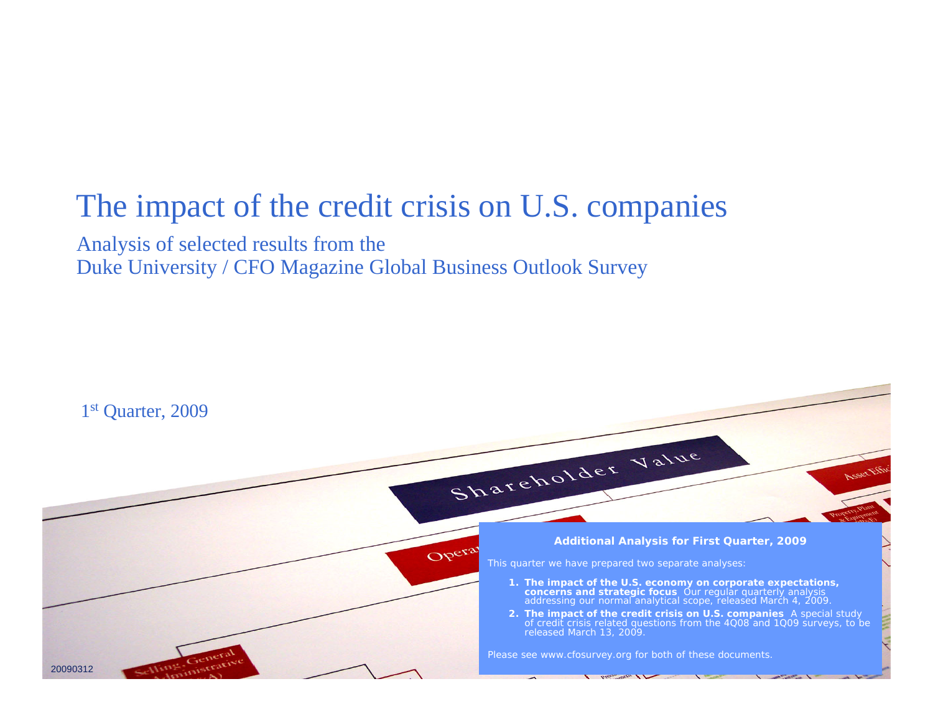# The impact of the credit crisis on U.S. companies

Analysis of selected results from the Duke University / CFO Magazine Global Business Outlook Survey

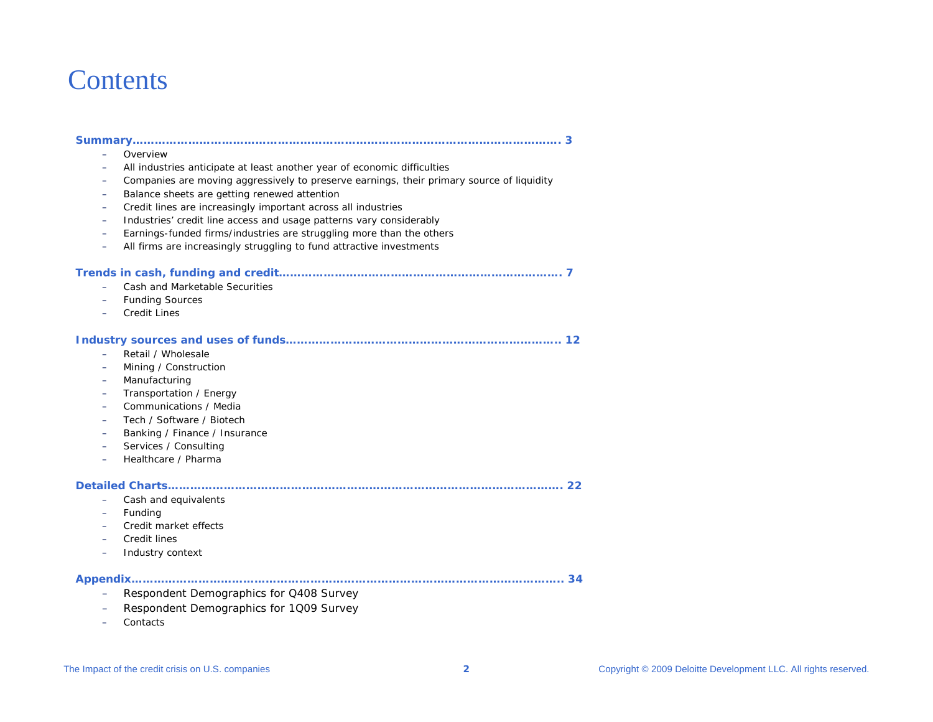# **Contents**

|--|

- Overview
- All industries anticipate at least another year of economic difficulties
- Companies are moving aggressively to preserve earnings, their primary source of liquidity
- –Balance sheets are getting renewed attention
- –Credit lines are increasingly important across all industries
- Industries' credit line access and usage patterns vary considerably
- –Earnings-funded firms/industries are struggling more than the others
- –All firms are increasingly struggling to fund attractive investments

#### **Trends in cash, funding and credit…………………………………………………………………. 7**  $\sim$  Cash and Marketable Securities –Funding Sources

Credit Lines

## **Industry sources and uses of funds……………………………………………………………….. 12**

- –Retail / Wholesale
- $\equiv$ Mining / Construction
- Manufacturing
- –Transportation / Energy
- Communications / Media
- –Tech / Software / Biotech
- –Banking / Finance / Insurance
- $\equiv$ Services / Consulting
- Healthcare / Pharma

#### **Detailed Charts……………………………………………………………………………………………. 22**

- –Cash and equivalents
- –Funding
- Credit market effects
- –Credit lines
- Industry context

**Appendix…………………………………………………………………………………………………….. 34**

- –Respondent Demographics for Q408 Survey
- –Respondent Demographics for 1Q09 Survey
- Contacts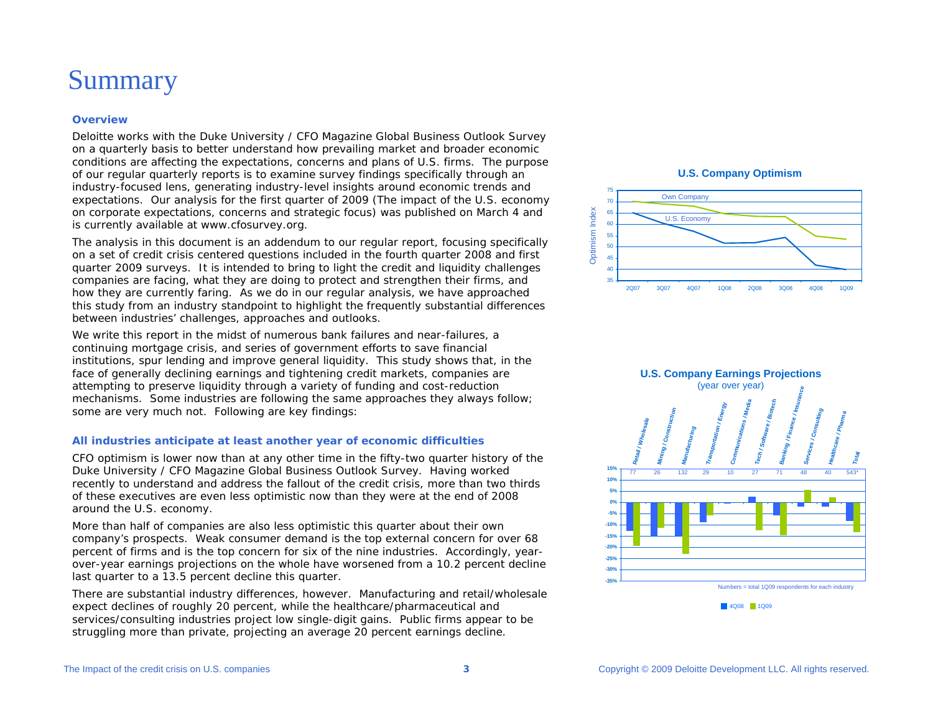# Summary

#### **Overview**

Deloitte works with the *Duke University / CFO Magazine Global Business Outlook Survey* on a quarterly basis to better understand how prevailing market and broader economic conditions are affecting the expectations, concerns and plans of U.S. firms. The purpose of our regular quarterly reports is to examine survey findings specifically through an industry-focused lens, generating industry-level insights around economic trends and expectations. Our analysis for the first quarter of 2009 (*The impact of the U.S. economy on corporate expectations, concerns and strategic focus)* was published on March 4 and is currently available at www.cfosurvey.org.

The analysis in this document is an addendum to our regular report, focusing specifically on a set of credit crisis centered questions included in the fourth quarter 2008 and first quarter 2009 surveys. It is intended to bring to light the credit and liquidity challenges companies are facing, what they are doing to protect and strengthen their firms, and how they are currently faring. As we do in our regular analysis, we have approached this study from an industry standpoint to highlight the frequently substantial differences between industries' challenges, approaches and outlooks.

We write this report in the midst of numerous bank failures and near-failures, a continuing mortgage crisis, and series of government efforts to save financial institutions, spur lending and improve general liquidity. This study shows that, in the face of generally declining earnings and tightening credit markets, companies are attempting to preserve liquidity through a variety of funding and cost-reduction mechanisms. Some industries are following the same approaches they always follow; some are very much not. Following are key findings:

#### **All industries anticipate at least another year of economic difficulties**

CFO optimism is lower now than at any other time in the fifty-two quarter history of the *Duke University / CFO Magazine Global Business Outlook Survey*. Having worked recently to understand and address the fallout of the credit crisis, more than two thirds of these executives are even less optimistic now than they were at the end of 2008 around the U.S. economy.

More than half of companies are also less optimistic this quarter about their own company's prospects. Weak consumer demand is the top external concern for over 68 percent of firms and is the top concern for six of the nine industries. Accordingly, yearover-year earnings projections on the whole have worsened from a 10.2 percent decline last quarter to a 13.5 percent decline this quarter.

There are substantial industry differences, however. Manufacturing and retail/wholesale expect declines of roughly 20 percent, while the healthcare/pharmaceutical and services/consulting industries project low single-digit gains. Public firms appear to be struggling more than private, projecting an average 20 percent earnings decline.

**U.S. Company Optimism**





4Q08 1Q09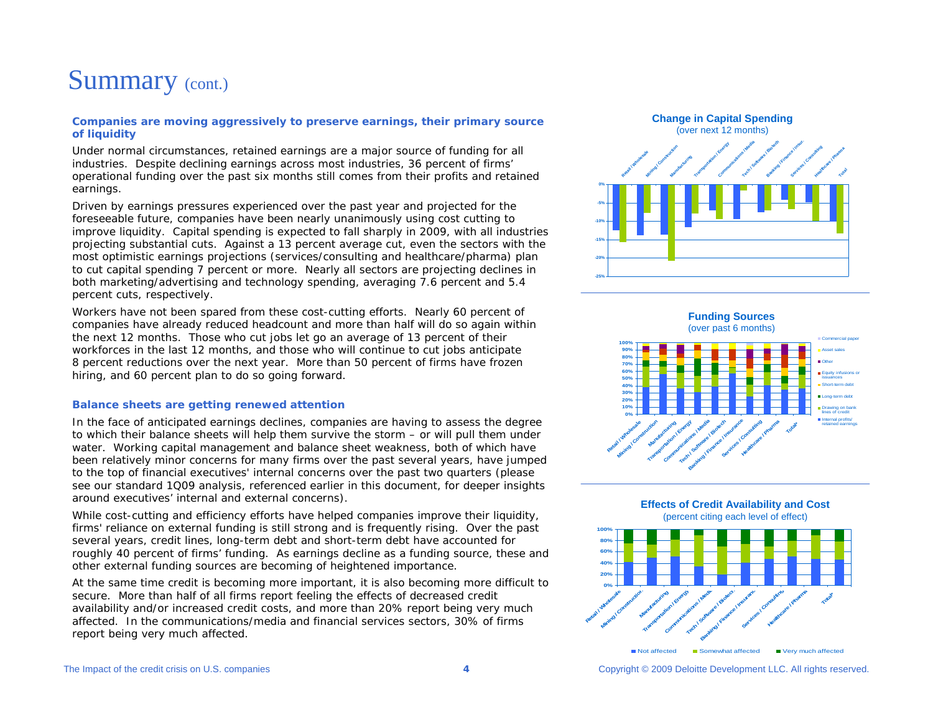# Summary (cont.)

#### **Companies are moving aggressively to preserve earnings, their primary source of liquidity**

Under normal circumstances, retained earnings are a major source of funding for all industries. Despite declining earnings across most industries, 36 percent of firms' operational funding over the past six months still comes from their profits and retained earnings.

Driven by earnings pressures experienced over the past year and projected for the foreseeable future, companies have been nearly unanimously using cost cutting to improve liquidity. Capital spending is expected to fall sharply in 2009, with all industries projecting substantial cuts. Against a 13 percent average cut, even the sectors with the most optimistic earnings projections (services/consulting and healthcare/pharma) plan to cut capital spending 7 percent or more. Nearly all sectors are projecting declines in both marketing/advertising and technology spending, averaging 7.6 percent and 5.4 percent cuts, respectively.

Workers have not been spared from these cost-cutting efforts. Nearly 60 percent of companies have already reduced headcount and more than half will do so again within the next 12 months. Those who cut jobs let go an average of 13 percent of their workforces in the last 12 months, and those who will continue to cut jobs anticipate 8 percent reductions over the next year. More than 50 percent of firms have frozen hiring, and 60 percent plan to do so going forward.

#### **Balance sheets are getting renewed attention**

In the face of anticipated earnings declines, companies are having to assess the degree to which their balance sheets will help them survive the storm – or will pull them under water. Working capital management and balance sheet weakness, both of which have been relatively minor concerns for many firms over the past several years, have jumped to the top of financial executives' internal concerns over the past two quarters (please see our standard 1Q09 analysis, referenced earlier in this document, for deeper insights around executives' internal and external concerns).

While cost-cutting and efficiency efforts have helped companies improve their liquidity, firms' reliance on external funding is still strong and is frequently rising. Over the past several years, credit lines, long-term debt and short-term debt have accounted for roughly 40 percent of firms' funding. As earnings decline as a funding source, these and other external funding sources are becoming of heightened importance.

At the same time credit is becoming more important, it is also becoming more difficult to secure. More than half of all firms report feeling the effects of decreased credit availability and/or increased credit costs, and more than 20% report being very much affected. In the communications/media and financial services sectors, 30% of firms report being very much affected.







Not affected

The Impact of the credit crisis on U.S. companies **4** Copyright © 2009 Deloitte Development LLC. All rights reserved.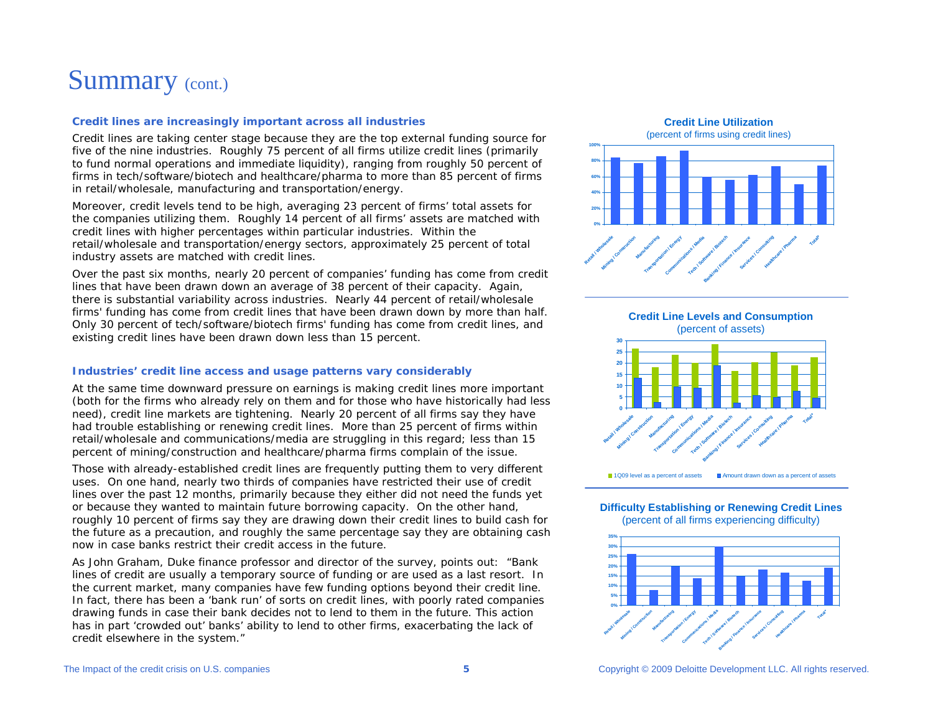# Summary (cont.)

#### **Credit lines are increasingly important across all industries**

Credit lines are taking center stage because they are the top external funding source for five of the nine industries. Roughly 75 percent of all firms utilize credit lines (primarily to fund normal operations and immediate liquidity), ranging from roughly 50 percent of firms in tech/software/biotech and healthcare/pharma to more than 85 percent of firms in retail/wholesale, manufacturing and transportation/energy.

Moreover, credit levels tend to be high, averaging 23 percent of firms' total assets for the companies utilizing them. Roughly 14 percent of all firms' assets are matched with credit lines with higher percentages within particular industries. Within the retail/wholesale and transportation/energy sectors, approximately 25 percent of total industry assets are matched with credit lines.

Over the past six months, nearly 20 percent of companies' funding has come from credit lines that have been drawn down an average of 38 percent of their capacity. Again, there is substantial variability across industries. Nearly 44 percent of retail/wholesale firms' funding has come from credit lines that have been drawn down by more than half. Only 30 percent of tech/software/biotech firms' funding has come from credit lines, and existing credit lines have been drawn down less than 15 percent.

#### **Industries' credit line access and usage patterns vary considerably**

At the same time downward pressure on earnings is making credit lines more important (both for the firms who already rely on them and for those who have historically had less need), credit line markets are tightening. Nearly 20 percent of all firms say they have had trouble establishing or renewing credit lines. More than 25 percent of firms within retail/wholesale and communications/media are struggling in this regard; less than 15 percent of mining/construction and healthcare/pharma firms complain of the issue.

Those with already-established credit lines are frequently putting them to very different uses. On one hand, nearly two thirds of companies have restricted their use of credit lines over the past 12 months, primarily because they either did not need the funds yet or because they wanted to maintain future borrowing capacity. On the other hand, roughly 10 percent of firms say they are drawing down their credit lines to build cash for the future as a precaution, and roughly the same percentage say they are obtaining cash now in case banks restrict their credit access in the future.

As John Graham, Duke finance professor and director of the survey, points out: "Bank lines of credit are usually a temporary source of funding or are used as a last resort. In the current market, many companies have few funding options beyond their credit line. In fact, there has been a 'bank run' of sorts on credit lines, with poorly rated companies drawing funds in case their bank decides not to lend to them in the future. This action has in part 'crowded out' banks' ability to lend to other firms, exacerbating the lack of credit elsewhere in the system."

**Credit Line Utilization**





**Difficulty Establishing or Renewing Credit Lines**

(percent of all firms experiencing difficulty)

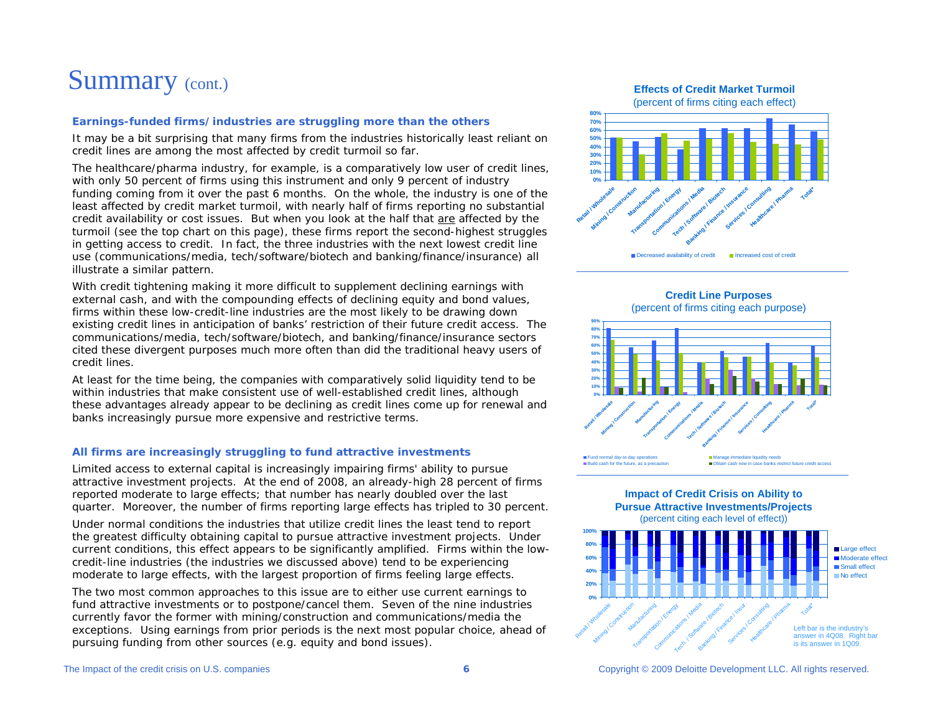# Summary (cont.)

## **Earnings-funded firms/industries are struggling more than the others**

It may be a bit surprising that many firms from the industries historically least reliant on credit lines are among the most affected by credit turmoil so far.

The healthcare/pharma industry, for example, is a comparatively low user of credit lines, with only 50 percent of firms using this instrument and only 9 percent of industry funding coming from it over the past 6 months. On the whole, the industry is one of the least affected by credit market turmoil, with nearly half of firms reporting no substantial credit availability or cost issues. But when you look at the half that are affected by the turmoil (see the top chart on this page), these firms report the second-highest struggles in getting access to credit. In fact, the three industries with the next lowest credit line use (communications/media, tech/software/biotech and banking/finance/insurance) all illustrate a similar pattern.

With credit tightening making it more difficult to supplement declining earnings with external cash, and with the compounding effects of declining equity and bond values, firms within these low-credit-line industries are the most likely to be drawing down existing credit lines in anticipation of banks' restriction of their future credit access. The communications/media, tech/software/biotech, and banking/finance/insurance sectors cited these divergent purposes much more often than did the traditional heavy users of credit lines.

At least for the time being, the companies with comparatively solid liquidity tend to be within industries that make consistent use of well-established credit lines, although these advantages already appear to be declining as credit lines come up for renewal and banks increasingly pursue more expensive and restrictive terms.

## **All firms are increasingly struggling to fund attractive investments**

Limited access to external capital is increasingly impairing firms' ability to pursue attractive investment projects. At the end of 2008, an already-high 28 percent of firms reported moderate to large effects; that number has nearly doubled over the last quarter. Moreover, the number of firms reporting large effects has tripled to 30 percent.

Under normal conditions the industries that utilize credit lines the least tend to report the greatest difficulty obtaining capital to pursue attractive investment projects. Under current conditions, this effect appears to be significantly amplified. Firms within the lowcredit-line industries (the industries we discussed above) tend to be experiencing moderate to large effects, with the largest proportion of firms feeling large effects.

The two most common approaches to this issue are to either use current earnings to fund attractive investments or to postpone/cancel them. Seven of the nine industries currently favor the former with mining/construction and communications/media the exceptions. Using earnings from prior periods is the next most popular choice, ahead of pursuing funding from other sources (e.g. equity and bond issues).

**Effects of Credit Market Turmoil**

(percent of firms citing each effect)





**Impact of Credit Crisis on Ability to** 



(percent citing each level of effect))

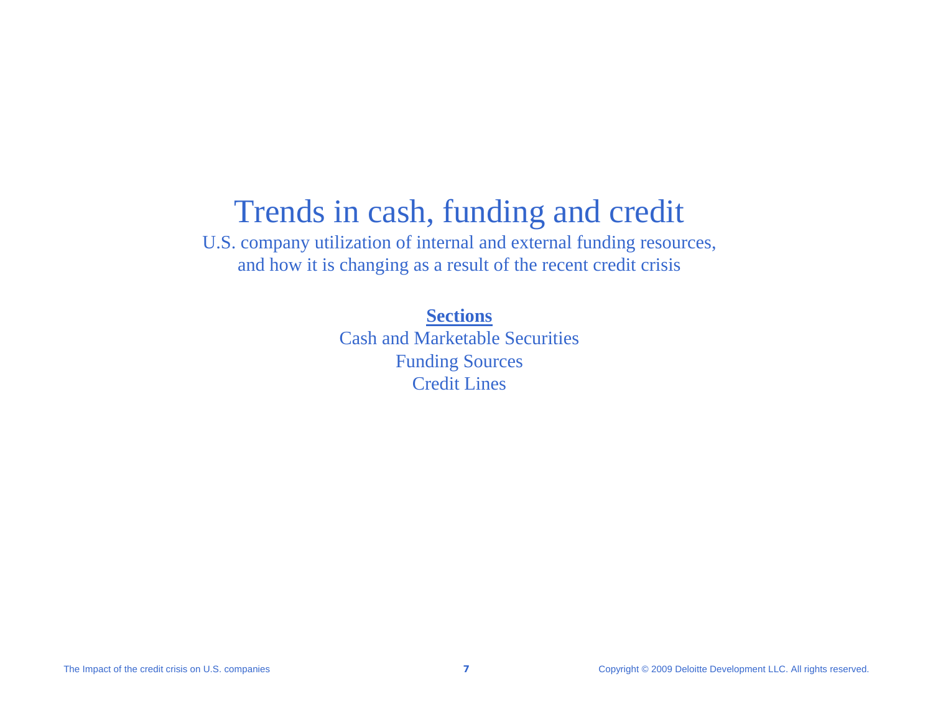# Trends in cash, funding and credit

U.S. company utilization of internal and external funding resources, and how it is changing as a result of the recent credit crisis

**Sections**

Cash and Marketable SecuritiesFunding Sources Credit Lines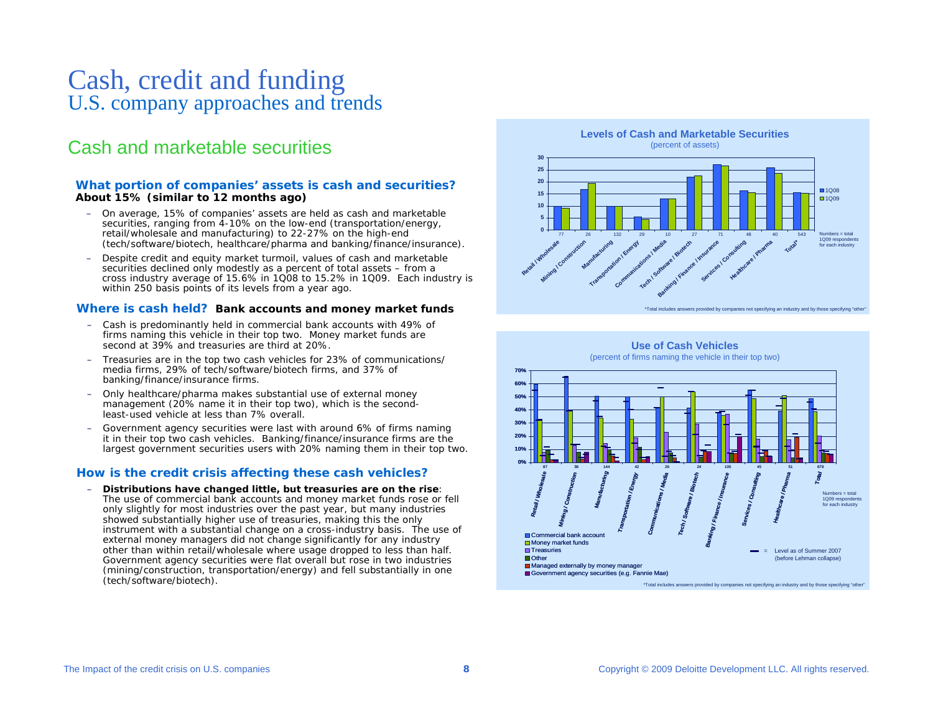# Cash, credit and funding U.S. company approaches and trends

## Cash and marketable securities

#### **What portion of companies' assets is cash and securities?** *About 15% (similar to 12 months ago)*

- On average, 15% of companies' assets are held as cash and marketable securities, ranging from 4-10% on the low-end (transportation/energy, retail/wholesale and manufacturing) to 22-27% on the high-end (tech/software/biotech, healthcare/pharma and banking/finance/insurance).
- Despite credit and equity market turmoil, values of cash and marketable securities declined only modestly as a percent of total assets – from a cross industry average of 15.6% in 1Q08 to 15.2% in 1Q09. Each industry is within 250 basis points of its levels from a year ago.

#### **Where is cash held?** *Bank accounts and money market funds*

- Cash is predominantly held in commercial bank accounts with 49% of firms naming this vehicle in their top two. Money market funds are second at 39% and treasuries are third at 20%.
- Treasuries are in the top two cash vehicles for 23% of communications/ media firms, 29% of tech/software/biotech firms, and 37% of banking/finance/insurance firms.
- Only healthcare/pharma makes substantial use of external money management (20% name it in their top two), which is the secondleast-used vehicle at less than 7% overall.
- – Government agency securities were last with around 6% of firms naming it in their top two cash vehicles. Banking/finance/insurance firms are the largest government securities users with 20% naming them in their top two.

#### **How is the credit crisis affecting these cash vehicles?**

– **Distributions have changed little, but treasuries are on the rise**: The use of commercial bank accounts and money market funds rose or fell only slightly for most industries over the past year, but many industries showed substantially higher use of treasuries, making this the only instrument with a substantial change on a cross-industry basis. The use of external money managers did not change significantly for any industry other than within retail/wholesale where usage dropped to less than half. Government agency securities were flat overall but rose in two industries (mining/construction, transportation/energy) and fell substantially in one (tech/software/biotech).



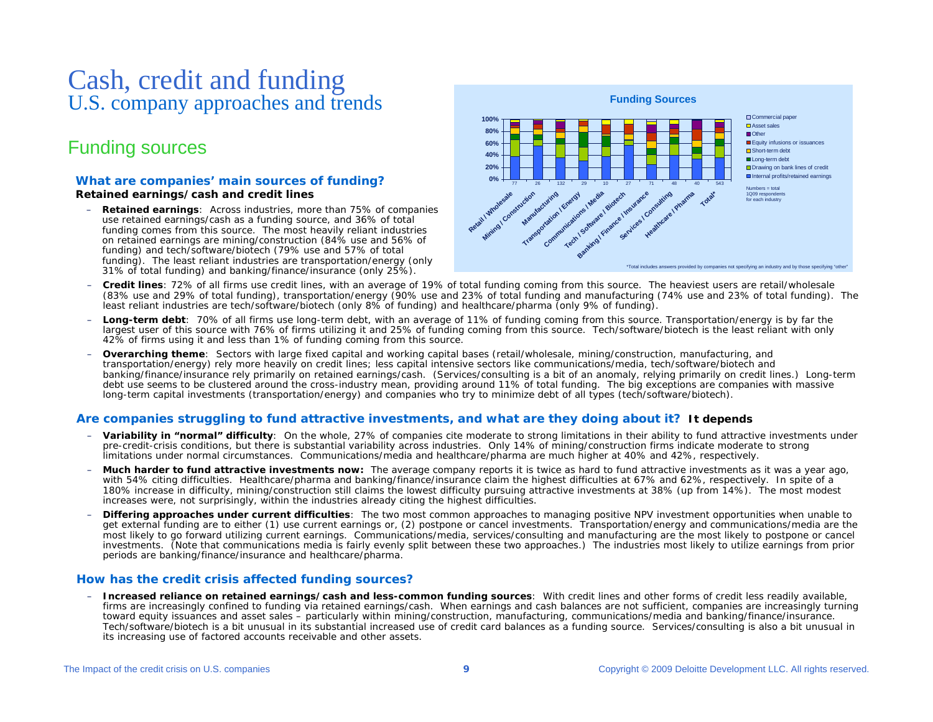# Cash, credit and funding U.S. company approaches and trends

## Funding sources

#### **What are companies' main sources of funding?** *Retained earnings/cash and credit lines*

– **Retained earnings**: Across industries, more than 75% of companies use retained earnings/cash as a funding source, and 36% of total funding comes from this source. The most heavily reliant industries on retained earnings are mining/construction (84% use and 56% of funding) and tech/software/biotech (79% use and 57% of total funding). The least reliant industries are transportation/energy (only 31% of total funding) and banking/finance/insurance (only 25%).



- **Credit lines**: 72% of all firms use credit lines, with an average of 19% of total funding coming from this source. The heaviest users are retail/wholesale (83% use and 29% of total funding), transportation/energy (90% use and 23% of total funding and manufacturing (74% use and 23% of total funding). The least reliant industries are tech/software/biotech (only 8% of funding) and healthcare/pharma (only 9% of funding).
- $\sim$ Long-term debt: 70% of all firms use long-term debt, with an average of 11% of funding coming from this source. Transportation/energy is by far the largest user of this source with 76% of firms utilizing it and 25% of funding coming from this source. Tech/software/biotech is the least reliant with only 42% of firms using it and less than 1% of funding coming from this source.
- **Overarching theme**: Sectors with large fixed capital and working capital bases (retail/wholesale, mining/construction, manufacturing, and transportation/energy) rely more heavily on credit lines; less capital intensive sectors like communications/media, tech/software/biotech and banking/finance/insurance rely primarily on retained earnings/cash. (Services/consulting is a bit of an anomaly, relying primarily on credit lines.) Long-term debt use seems to be clustered around the cross-industry mean, providing around 11% of total funding. The big exceptions are companies with massive long-term capital investments (transportation/energy) and companies who try to minimize debt of all types (tech/software/biotech).

## **Are companies struggling to fund attractive investments, and what are they doing about it?** *It depends*

- **Variability in "normal" difficulty**: On the whole, 27% of companies cite moderate to strong limitations in their ability to fund attractive investments under pre-credit-crisis conditions, but there is substantial variability across industries. Only 14% of mining/construction firms indicate moderate to strong limitations under normal circumstances. Communications/media and healthcare/pharma are much higher at 40% and 42%, respectively.
- **Much harder to fund attractive investments now:** The average company reports it is twice as hard to fund attractive investments as it was a year ago, with 54% citing difficulties. Healthcare/pharma and banking/finance/insurance claim the highest difficulties at 67% and 62%, respectively. In spite of a 180% increase in difficulty, mining/construction still claims the lowest difficulty pursuing attractive investments at 38% (up from 14%). The most modest increases were, not surprisingly, within the industries already citing the highest difficulties.
- **Differing approaches under current difficulties**: The two most common approaches to managing positive NPV investment opportunities when unable to get external funding are to either (1) use current earnings or, (2) postpone or cancel investments. Transportation/energy and communications/media are the most likely to go forward utilizing current earnings. Communications/media, services/consulting and manufacturing are the most likely to postpone or cancel investments. (Note that communications media is fairly evenly split between these two approaches.) The industries most likely to utilize earnings from prior periods are banking/finance/insurance and healthcare/pharma.

## **How has the credit crisis affected funding sources?**

– **Increased reliance on retained earnings/cash and less-common funding sources**: With credit lines and other forms of credit less readily available, firms are increasingly confined to funding via retained earnings/cash. When earnings and cash balances are not sufficient, companies are increasingly turning toward equity issuances and asset sales – particularly within mining/construction, manufacturing, communications/media and banking/finance/insurance. Tech/software/biotech is a bit unusual in its substantial increased use of credit card balances as a funding source. Services/consulting is also a bit unusual in its increasing use of factored accounts receivable and other assets.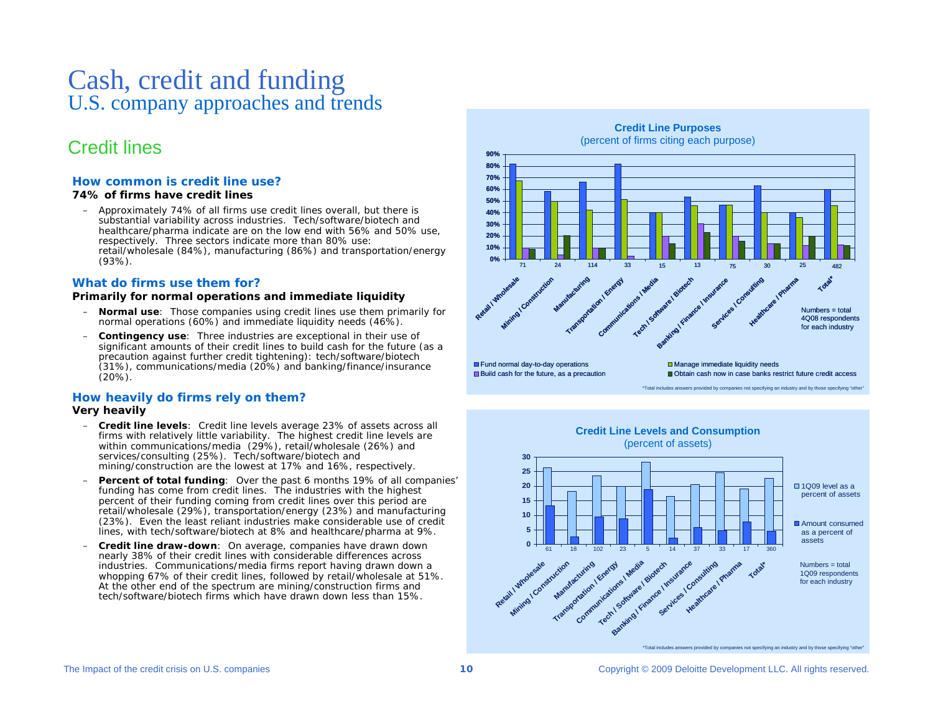# Cash, credit and funding U.S. company approaches and trends

## Credit lines

## **How common is credit lin e use?**

#### *74% of firms have credit lines*

– Approximately 74% of all firms use credit lines overall, but there is substantial variability across industries. Tech/software/biotech and healthcare/pharma indicate are on the low end with 56% and 50% use, respectively. Three sectors indicate more than 80 % use: retail/wholesale (84%), manufacturing (86%) and transportation/energy (93%).

## **What do firms use them for?**

#### *Primarily for normal operations and immediate liquidity*

- **Normal use**: Those companies using credit lines use them primarily for normal operations (60%) and immediate liquidity needs (46%).
- – **Contingency use**: Three industries are exceptional in their use of significant amounts of their credit lines to build cash for the future (as a precaution against further credit tightening): tech/software/biotech (31%), communications/ media (20 %) and banking/finance/insurance (2 0%).

#### **How h eavily do firms rely on them?** *Very heavily*

- **Credit line levels**: Credit line levels average 23% of assets across all firms with relatively little variability. The highest credit line levels are within communications/media (29%), retail/wholesale (26%) and services/consulting (25%). Tech/software/biotech and mining/construction are the lowest at 17% and 16%, respectively.
- **Percent of total funding**: Over the past 6 months 19% of all companies' funding has come from credit lines. The industries with the highest percent of their funding coming from credit lines over this period are retail/wholesale (29%), transportation/energy (23%) and manufacturing (23%). Even the least reliant industries make considerable use of credit lines, with tech/software/biotech at 8 % and healthcare/pharma at 9%.
- – **Credit line draw-down**: On average, companies have dra wn down nearly 38% of their credit lines with considerable differences across industries. Communications/media firms report having drawn down <sup>a</sup> whopping 67% of their credit lines, followed by retail/wholesale at 51%. At the other end of the spectrum are mining/construction firms and tech/software/biotech firms which have drawn down less than 15%.

#### **Credit Line Purpos es**(percent of firms citing each purpose)



\*Total includes answers provided by companies not specifying an industry and by those specifying "other"

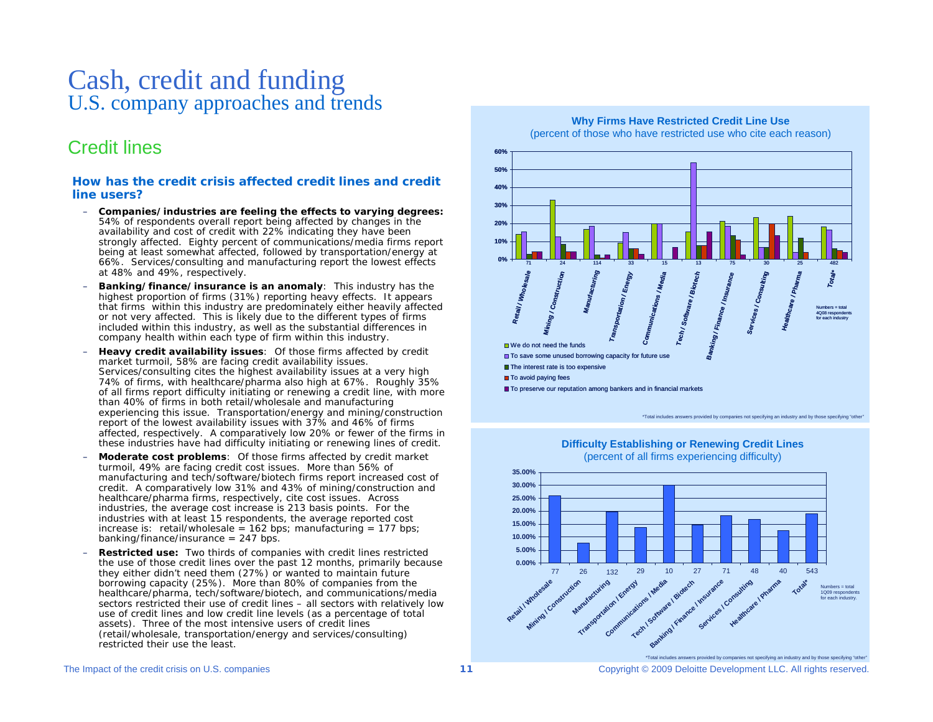# Cash, credit and funding U.S. company approaches and trends

## Credit lines

#### **How has the credit crisis affected credit lines and creditline users?**

- **Companies/industries are feeling the effects to varying degrees:** 54% of respondents overall report being affected by changes in the availability and cost of credit with 22% indicating they have been strongly affected. Eighty percent of communications/media firms report being at least somewhat affected, followed by transportation/energy at 66%. Services/consulting and manufacturing report the lowest effects at 48 % and 49%, respectively.
- **Banking/finance/insurance is an ano maly**: This industry has the highest proportion of firms (31%) reporting heavy effects. It appears that firms within this industry are predominately either heavily affected or not very affected. This is likely due to the different types of firms included within this industry, as well as the substantial differences in company health within each type of firm within this industry.
- – **Heavy credit availability issues**: Of those firms affected by credit market turmoil, 58% are facing credit availability issues. Services/consulting cites the highest availability issues at a very high 74% of firms, with healthcare/pharma also high at 67 %. Roughly 35% of all firms report difficulty initiating or renewing a credit line, with more than 40% of firms in both retail/ wholesale and manufacturing experiencing this issue. Transportation/energy and mining/construction report of the lowest availability issues with 37% and 46% of firms affected, respectively. A comparatively low 20% or fewer of the firms in these industries have had difficulty initiating or renewing lines of credit.
- **Moderate cost problems**: Of those firms affected by credit market turmoil, 49% are facing credit cost issues. More than 56% of manufacturing and tech/software/biotech firms report increased cost of credit. A comparatively low 31% and 43% of mining/construction and healthcare/pharma firms, respectively, cite cost issues. Across industries, the average cost increase is 213 basis points. For the industries with at least 15 respondents, the average reported cost increase is: retail/wholesale =  $162$  bps; manufacturing =  $177$  bps; banking/finance/insurance =  $247$  bps.
- **Restricted use:** Two thirds of companies with credit lines restricted the use of those credit lines over the past 12 months, pri marily because they either didn't need them (27%) or wanted to maintain future borrowing capacity (25%). More than 80% of companies from the healthcare/pharma, tech/software/biotech, and communications/media sectors restricted their use of credit lines – all sectors with relatively low use of credit lines and low credit line levels (as a percentage of total assets). Three of the most intensive users of credit lines (retail/wholesale, transportation/energy and services/consulting) restricted their use the least.



\*Total includes answers provided by companies not specifying an industry and by those specifying "other"



#### **Difficulty Establishing or Rene wing Cre dit Lines**(percent of all firms experiencing difficulty)

#### The I mpact of the credit crisis on U.S. co

<sup>\*</sup>Total includes answers provided by companies not specifying an industry and by those specifying "other"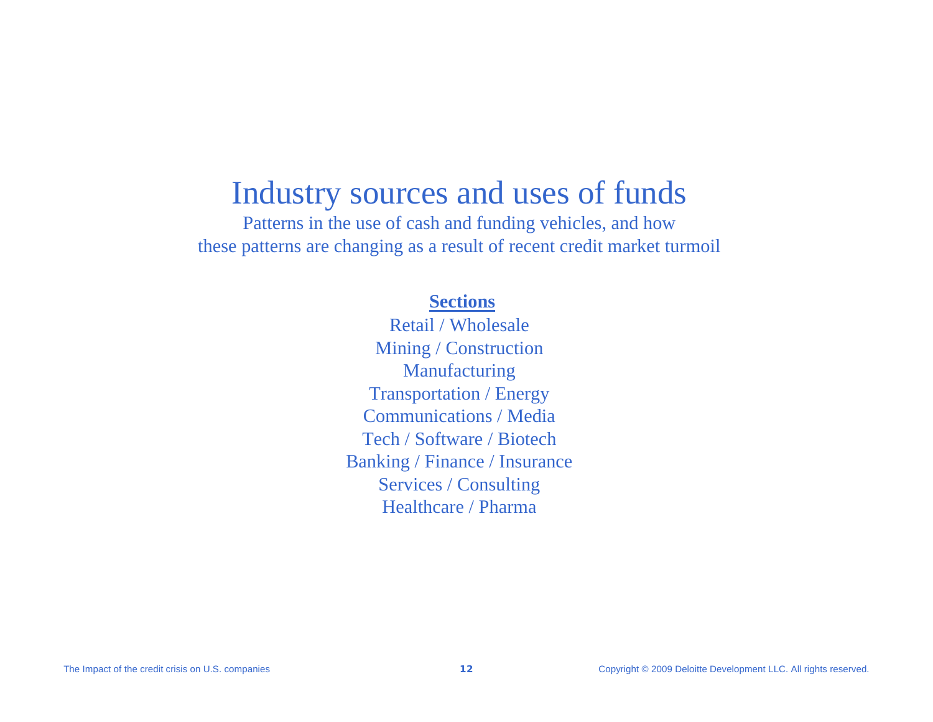# Industry sources and uses of funds

Patterns in the use of cash and funding vehicles, and how these patterns are changing as a result of recent credit market turmoil

## **Sections**

Retail / WholesaleMining / Construction Manufacturing Transportation / Energy Communications / MediaTech / Software / BiotechBanking / Finance / Insurance Services / Consulting Healthcare / Pharma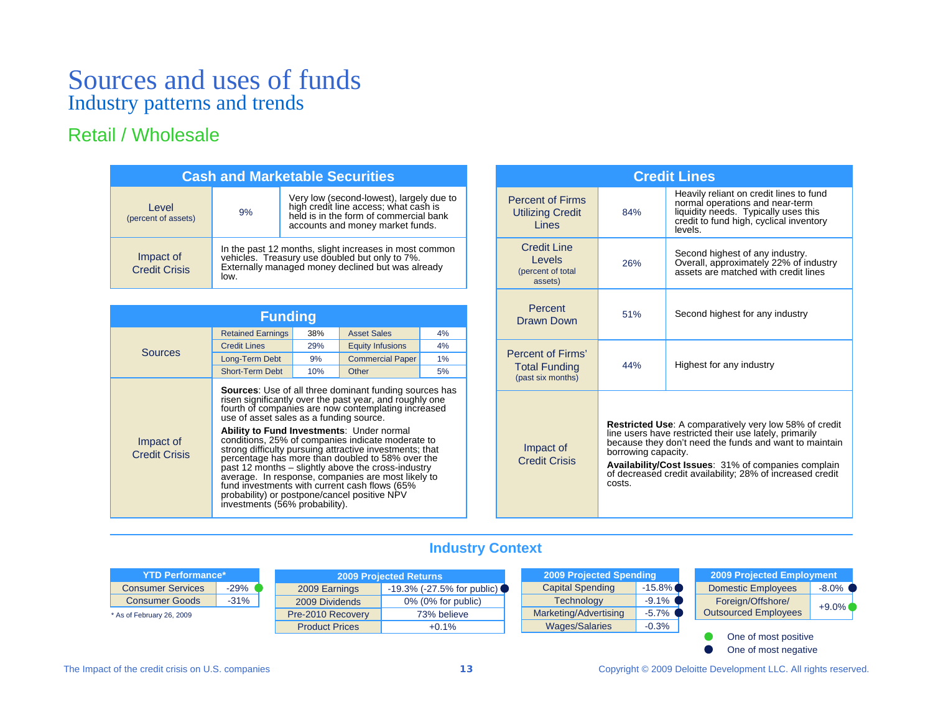## Retail / Wholesale

| <b>Cash and Marketable Securities</b> |      |                                                                                                                                                                 |  |  |  |
|---------------------------------------|------|-----------------------------------------------------------------------------------------------------------------------------------------------------------------|--|--|--|
| Level<br>(percent of assets)          | 9%   | Very low (second-lowest), largely due to<br>high credit line access; what cash is<br>held is in the form of commercial bank<br>accounts and money market funds. |  |  |  |
| Impact of<br><b>Credit Crisis</b>     | low. | In the past 12 months, slight increases in most common vehicles. Treasury use doubled but only to 7%.<br>Externally managed money declined but was already      |  |  |  |

| <b>Funding</b>                    |                                                                                                                                    |     |                                                                                                                                                                                                                                                                                                                                                                                                                                                                                                                                                             |    |  |  |
|-----------------------------------|------------------------------------------------------------------------------------------------------------------------------------|-----|-------------------------------------------------------------------------------------------------------------------------------------------------------------------------------------------------------------------------------------------------------------------------------------------------------------------------------------------------------------------------------------------------------------------------------------------------------------------------------------------------------------------------------------------------------------|----|--|--|
|                                   | <b>Retained Earnings</b>                                                                                                           | 38% | <b>Asset Sales</b>                                                                                                                                                                                                                                                                                                                                                                                                                                                                                                                                          | 4% |  |  |
| Sources                           | <b>Credit Lines</b>                                                                                                                | 29% | <b>Equity Infusions</b>                                                                                                                                                                                                                                                                                                                                                                                                                                                                                                                                     | 4% |  |  |
|                                   | Long-Term Debt                                                                                                                     | 9%  | <b>Commercial Paper</b>                                                                                                                                                                                                                                                                                                                                                                                                                                                                                                                                     | 1% |  |  |
|                                   | <b>Short-Term Debt</b>                                                                                                             | 10% | Other                                                                                                                                                                                                                                                                                                                                                                                                                                                                                                                                                       | 5% |  |  |
| Impact of<br><b>Credit Crisis</b> | <b>Ability to Fund Investments: Under normal</b><br>probability) or postpone/cancel positive NPV<br>investments (56% probability). |     | <b>Sources:</b> Use of all three dominant funding sources has<br>risen significantly over the past year, and roughly one<br>fourth of companies are now contemplating increased<br>use of asset sales as a funding source.<br>conditions, 25% of companies indicate moderate to<br>strong difficulty pursuing attractive investments; that<br>percentage has more than doubled to 58% over the<br>past 12 months – slightly above the cross-industry<br>average. In response, companies are most likely to<br>fund investments with current cash flows (65% |    |  |  |

| <b>Credit Lines</b>                                                |                                                                                                                                                                                                                                                                                                                                        |                                                                                                                                                                          |  |  |  |
|--------------------------------------------------------------------|----------------------------------------------------------------------------------------------------------------------------------------------------------------------------------------------------------------------------------------------------------------------------------------------------------------------------------------|--------------------------------------------------------------------------------------------------------------------------------------------------------------------------|--|--|--|
| <b>Percent of Firms</b><br><b>Utilizing Credit</b><br><b>Lines</b> | 84%                                                                                                                                                                                                                                                                                                                                    | Heavily reliant on credit lines to fund<br>normal operations and near-term<br>liquidity needs. Typically uses this<br>credit to fund high, cyclical inventory<br>levels. |  |  |  |
| Credit Line<br>Levels<br>(percent of total<br>assets)              | 26%                                                                                                                                                                                                                                                                                                                                    | Second highest of any industry.<br>Overall, approximately 22% of industry<br>assets are matched with credit lines                                                        |  |  |  |
| Percent<br>Drawn Down                                              | 51%                                                                                                                                                                                                                                                                                                                                    | Second highest for any industry                                                                                                                                          |  |  |  |
| Percent of Firms'<br><b>Total Funding</b><br>(past six months)     | Highest for any industry<br>44%                                                                                                                                                                                                                                                                                                        |                                                                                                                                                                          |  |  |  |
| Impact of<br><b>Credit Crisis</b>                                  | <b>Restricted Use:</b> A comparatively very low 58% of credit<br>line users have restricted their use lately, primarily<br>because they don't need the funds and want to maintain<br>borrowing capacity.<br>Availability/Cost Issues: 31% of companies complain<br>of decreased credit availability; 28% of increased credit<br>costs. |                                                                                                                                                                          |  |  |  |

## **Industry Context**

| <b>YTD Performance*</b>   |        | <b>2009 Projected Returns</b> |                                         |  |                         | <b>2009 Projected Spending</b> | <b>2009 Projected Employ</b> |  |
|---------------------------|--------|-------------------------------|-----------------------------------------|--|-------------------------|--------------------------------|------------------------------|--|
| <b>Consumer Services</b>  | $-29%$ | 2009 Earnings                 | $-19.3\%$ (-27.5% for public) $\bullet$ |  | <b>Capital Spending</b> | $-15.8\%$                      | <b>Domestic Employees</b>    |  |
| <b>Consumer Goods</b>     | $-31%$ | 2009 Dividends                | $0\%$ (0% for public)                   |  | <b>Technology</b>       | $-9.1\%$                       | Foreign/Offshore/            |  |
| * As of February 26, 2009 |        | Pre-2010 Recovery             | 73% believe                             |  | Marketing/Advertising   | $-5.7\%$                       | <b>Outsourced Employees</b>  |  |
|                           |        | <b>Product Prices</b>         | $+0.1%$                                 |  | <b>Wages/Salaries</b>   | $-0.3%$                        |                              |  |
|                           |        |                               |                                         |  |                         |                                | One of most positive         |  |

One of most negative

ment

-8.0%+9.0%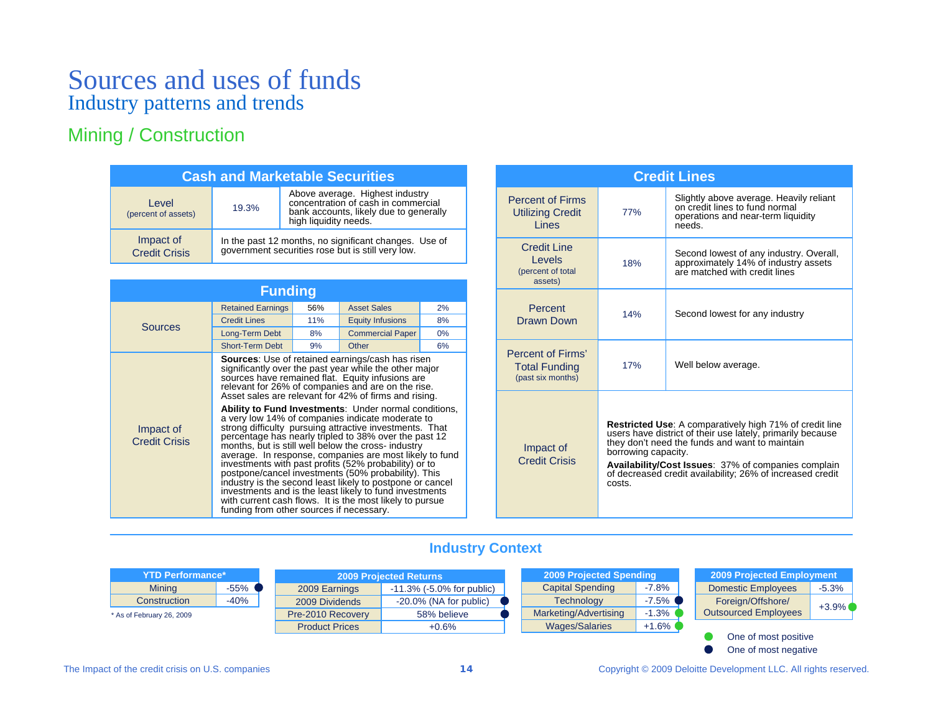## Mining / Construction

| <b>Cash and Marketable Securities</b> |                                                                                                         |                                                                                                                                           |  |  |  |
|---------------------------------------|---------------------------------------------------------------------------------------------------------|-------------------------------------------------------------------------------------------------------------------------------------------|--|--|--|
| Level<br>(percent of assets)          | 19.3%                                                                                                   | Above average. Highest industry<br>concentration of cash in commercial<br>bank accounts, likely due to generally<br>high liquidity needs. |  |  |  |
| Impact of<br><b>Credit Crisis</b>     | In the past 12 months, no significant changes. Use of government securities rose but is still very low. |                                                                                                                                           |  |  |  |

| <b>Funding</b>                    |                                          |     |                                                                                                                                                                                                                                                                                                                                                                                                                                                                                                                                                                                                                                                                                                                                                                                                                                                                                                                                             |    |  |  |  |
|-----------------------------------|------------------------------------------|-----|---------------------------------------------------------------------------------------------------------------------------------------------------------------------------------------------------------------------------------------------------------------------------------------------------------------------------------------------------------------------------------------------------------------------------------------------------------------------------------------------------------------------------------------------------------------------------------------------------------------------------------------------------------------------------------------------------------------------------------------------------------------------------------------------------------------------------------------------------------------------------------------------------------------------------------------------|----|--|--|--|
|                                   | <b>Retained Earnings</b>                 | 56% | <b>Asset Sales</b>                                                                                                                                                                                                                                                                                                                                                                                                                                                                                                                                                                                                                                                                                                                                                                                                                                                                                                                          | 2% |  |  |  |
| <b>Sources</b>                    | <b>Credit Lines</b>                      | 11% | <b>Equity Infusions</b>                                                                                                                                                                                                                                                                                                                                                                                                                                                                                                                                                                                                                                                                                                                                                                                                                                                                                                                     | 8% |  |  |  |
|                                   | Long-Term Debt                           | 8%  | <b>Commercial Paper</b>                                                                                                                                                                                                                                                                                                                                                                                                                                                                                                                                                                                                                                                                                                                                                                                                                                                                                                                     | 0% |  |  |  |
|                                   | <b>Short-Term Debt</b>                   | 9%  | Other                                                                                                                                                                                                                                                                                                                                                                                                                                                                                                                                                                                                                                                                                                                                                                                                                                                                                                                                       | 6% |  |  |  |
| Impact of<br><b>Credit Crisis</b> | funding from other sources if necessary. |     | <b>Sources:</b> Use of retained earnings/cash has risen<br>significantly over the past year while the other major<br>sources have remained flat. Equity infusions are<br>relevant for 26% of companies and are on the rise.<br>Asset sales are relevant for 42% of firms and rising.<br>Ability to Fund Investments: Under normal conditions,<br>a very low 14% of companies indicate moderate to<br>strong difficulty pursuing attractive investments. That<br>percentage has nearly tripled to 38% over the past 12<br>months, but is still well below the cross- industry<br>average. In response, companies are most likely to fund<br>investments with past profits (52% probability) or to<br>postpone/cancel investments (50% probability). This<br>industry is the second least likely to postpone or cancel<br>investments and is the least likely to fund investments<br>with current cash flows. It is the most likely to pursue |    |  |  |  |

|                                                                | <b>Credit Lines</b>                                                                                                                                                                                                                                                                                                                 |                                                                                                                           |  |  |  |  |
|----------------------------------------------------------------|-------------------------------------------------------------------------------------------------------------------------------------------------------------------------------------------------------------------------------------------------------------------------------------------------------------------------------------|---------------------------------------------------------------------------------------------------------------------------|--|--|--|--|
| <b>Percent of Firms</b><br><b>Utilizing Credit</b><br>Lines    | 77%                                                                                                                                                                                                                                                                                                                                 | Slightly above average. Heavily reliant<br>on credit lines to fund normal<br>operations and near-term liquidity<br>needs. |  |  |  |  |
| Credit Line<br>Levels<br>(percent of total<br>assets)          | 18%                                                                                                                                                                                                                                                                                                                                 | Second lowest of any industry. Overall,<br>approximately 14% of industry assets<br>are matched with credit lines          |  |  |  |  |
| Percent<br>Drawn Down                                          | 14%                                                                                                                                                                                                                                                                                                                                 | Second lowest for any industry                                                                                            |  |  |  |  |
| Percent of Firms'<br><b>Total Funding</b><br>(past six months) | 17%                                                                                                                                                                                                                                                                                                                                 | Well below average.                                                                                                       |  |  |  |  |
| Impact of<br><b>Credit Crisis</b>                              | <b>Restricted Use:</b> A comparatively high 71% of credit line<br>users have district of their use lately, primarily because<br>they don't need the funds and want to maintain<br>borrowing capacity.<br>Availability/Cost Issues: 37% of companies complain<br>of decreased credit availability; 26% of increased credit<br>costs. |                                                                                                                           |  |  |  |  |

## **Industry Context**

| YTD Performance*          |         | <b>2009 Projected Returns</b> |                                  | 2009 Projected Spending |          | 2009 Projected Employment   |         |
|---------------------------|---------|-------------------------------|----------------------------------|-------------------------|----------|-----------------------------|---------|
| <b>Mining</b>             | $-55\%$ | 2009 Earnings                 | $-11.3\%$ ( $-5.0\%$ for public) | <b>Capital Spending</b> | $-7.8%$  | <b>Domestic Employees</b>   | $-5.3%$ |
| Construction              | $-40%$  | 2009 Dividends                | $-20.0\%$ (NA for public)        | <b>Technology</b>       | $-7.5\%$ | Foreign/Offshore/           | $+3.9%$ |
| * As of February 26, 2009 |         | Pre-2010 Recovery             | 58% believe                      | Marketing/Advertising   | $-1.3%$  | <b>Outsourced Employees</b> |         |
|                           |         | <b>Product Prices</b>         | $+0.6\%$                         | <b>Wages/Salaries</b>   | $+1.6\%$ |                             |         |
|                           |         |                               |                                  |                         |          | One of most positive        |         |

One of most negative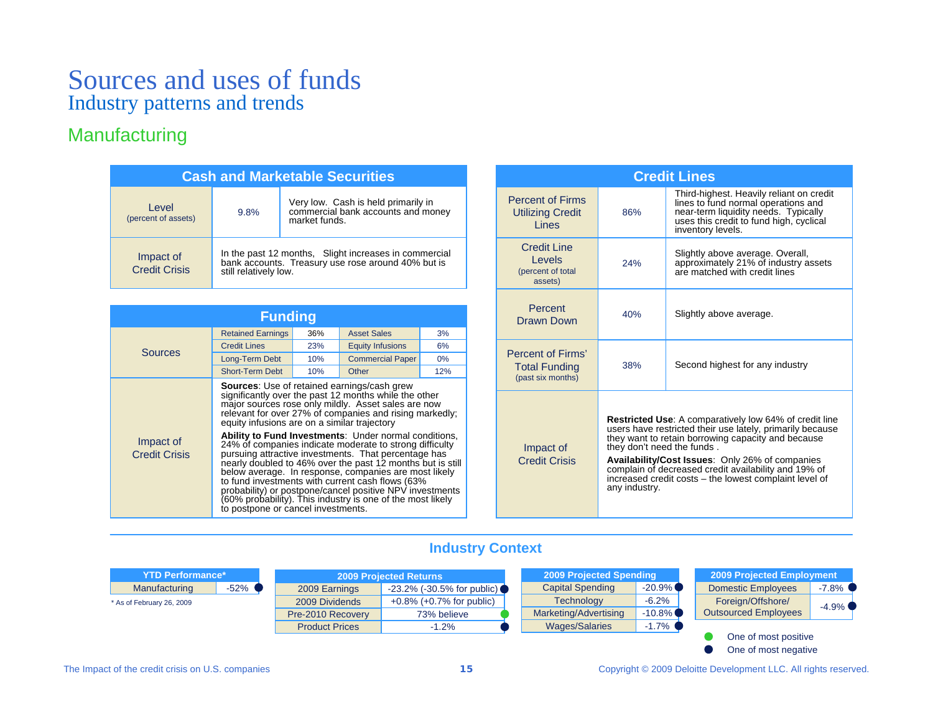## Manufacturing

| <b>Cash and Marketable Securities</b> |                                                                                                                                      |                                                                                            |  |  |  |
|---------------------------------------|--------------------------------------------------------------------------------------------------------------------------------------|--------------------------------------------------------------------------------------------|--|--|--|
| Level<br>(percent of assets)          | 9.8%                                                                                                                                 | Very low. Cash is held primarily in<br>commercial bank accounts and money<br>market funds. |  |  |  |
| Impact of<br><b>Credit Crisis</b>     | In the past 12 months, Slight increases in commercial<br>bank accounts. Treasury use rose around 40% but is<br>still relatively low. |                                                                                            |  |  |  |

| <b>Funding</b>                    |                                              |     |                                                                                                                                                                                                                                                                                                                                                                                                                                                                                                                                                                                                                                                                                                                        |     |  |  |
|-----------------------------------|----------------------------------------------|-----|------------------------------------------------------------------------------------------------------------------------------------------------------------------------------------------------------------------------------------------------------------------------------------------------------------------------------------------------------------------------------------------------------------------------------------------------------------------------------------------------------------------------------------------------------------------------------------------------------------------------------------------------------------------------------------------------------------------------|-----|--|--|
|                                   | <b>Retained Earnings</b>                     | 36% | <b>Asset Sales</b>                                                                                                                                                                                                                                                                                                                                                                                                                                                                                                                                                                                                                                                                                                     | 3%  |  |  |
| <b>Sources</b>                    | <b>Credit Lines</b>                          | 23% | <b>Equity Infusions</b>                                                                                                                                                                                                                                                                                                                                                                                                                                                                                                                                                                                                                                                                                                | 6%  |  |  |
|                                   | Long-Term Debt                               | 10% | <b>Commercial Paper</b>                                                                                                                                                                                                                                                                                                                                                                                                                                                                                                                                                                                                                                                                                                | 0%  |  |  |
|                                   | <b>Short-Term Debt</b>                       | 10% | Other                                                                                                                                                                                                                                                                                                                                                                                                                                                                                                                                                                                                                                                                                                                  | 12% |  |  |
| Impact of<br><b>Credit Crisis</b> | equity infusions are on a similar trajectory |     | <b>Sources:</b> Use of retained earnings/cash grew<br>significantly over the past 12 months while the other<br>major sources rose only mildly. Asset sales are now<br>relevant for over 27% of companies and rising markedly;<br><b>Ability to Fund Investments:</b> Under normal conditions,<br>24% of companies indicate moderate to strong difficulty<br>pursuing attractive investments. That percentage has<br>nearly doubled to 46% over the past 12 months but is still<br>below average. In response, companies are most likely<br>to fund investments with current cash flows (63%)<br>probability) or postpone/cancel positive NPV investments<br>(60% probability). This industry is one of the most likely |     |  |  |

|                                                                    | <b>Credit Lines</b>                                                                                                                                                                                                                                                                                                                                                                                  |                                                                                                                                                                                         |  |  |  |  |
|--------------------------------------------------------------------|------------------------------------------------------------------------------------------------------------------------------------------------------------------------------------------------------------------------------------------------------------------------------------------------------------------------------------------------------------------------------------------------------|-----------------------------------------------------------------------------------------------------------------------------------------------------------------------------------------|--|--|--|--|
| <b>Percent of Firms</b><br><b>Utilizing Credit</b><br><b>Lines</b> | 86%                                                                                                                                                                                                                                                                                                                                                                                                  | Third-highest. Heavily reliant on credit<br>lines to fund normal operations and<br>near-term liquidity needs. Typically<br>uses this credit to fund high, cyclical<br>inventory levels. |  |  |  |  |
| Credit Line<br>Levels<br>(percent of total<br>assets)              | 24%                                                                                                                                                                                                                                                                                                                                                                                                  | Slightly above average. Overall,<br>approximately 21% of industry assets<br>are matched with credit lines                                                                               |  |  |  |  |
| Percent<br>Drawn Down                                              | 40%                                                                                                                                                                                                                                                                                                                                                                                                  | Slightly above average.                                                                                                                                                                 |  |  |  |  |
| Percent of Firms'<br><b>Total Funding</b><br>(past six months)     | 38%                                                                                                                                                                                                                                                                                                                                                                                                  | Second highest for any industry                                                                                                                                                         |  |  |  |  |
| Impact of<br><b>Credit Crisis</b>                                  | <b>Restricted Use:</b> A comparatively low 64% of credit line<br>users have restricted their use lately, primarily because<br>they want to retain borrowing capacity and because<br>they don't need the funds.<br>Availability/Cost Issues: Only 26% of companies<br>complain of decreased credit availability and 19% of<br>increased credit costs – the lowest complaint level of<br>any industry. |                                                                                                                                                                                         |  |  |  |  |

## **Industry Context**

| <b>YTD Performance*</b>   |         | <b>2009 Projected Returns</b> |                                   | 2009 Projected Spending |           |  | 2009 Projected Employment |          |
|---------------------------|---------|-------------------------------|-----------------------------------|-------------------------|-----------|--|---------------------------|----------|
| Manufacturing             | $-52\%$ | 2009 Earnings                 | $-23.2\%$ ( $-30.5\%$ for public) | <b>Capital Spending</b> | $-20.9\%$ |  | <b>Domestic Employees</b> | $-7.8\%$ |
| * As of February 26, 2009 |         | 2009 Dividends                | $+0.8\%$ ( $+0.7\%$ for public)   | <b>Technology</b>       | $-6.2\%$  |  | Foreign/Offshore/         | $-4.9\%$ |
|                           |         | Pre-2010 Recovery             | 73% believe                       | Marketing/Advertising   | $-10.8\%$ |  | Outsourced Employees      |          |
|                           |         | <b>Product Prices</b>         | $-1.2%$                           | <b>Wages/Salaries</b>   | $-1.7\%$  |  |                           |          |
|                           |         |                               |                                   |                         |           |  | One of most positive      |          |

One of most negative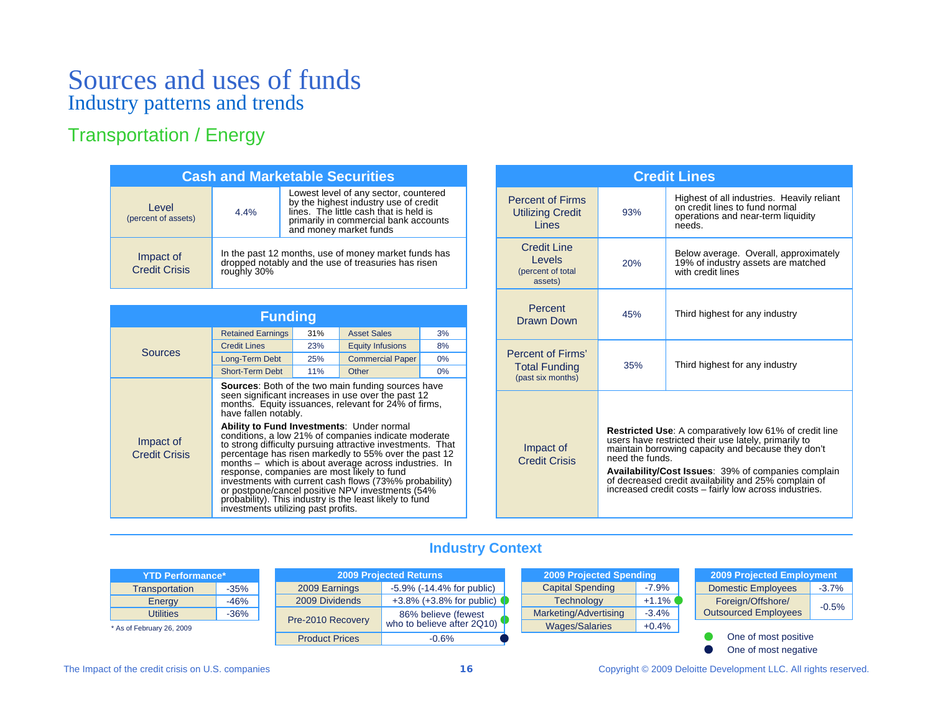## Transportation / Energy

| <b>Cash and Marketable Securities</b> |             |                                                                                                                                                                                             |  |  |
|---------------------------------------|-------------|---------------------------------------------------------------------------------------------------------------------------------------------------------------------------------------------|--|--|
| Level<br>(percent of assets)          | 4.4%        | Lowest level of any sector, countered<br>by the highest industry use of credit<br>lines. The little cash that is held is<br>primarily in commercial bank accounts<br>and money market funds |  |  |
| Impact of<br><b>Credit Crisis</b>     | roughly 30% | In the past 12 months, use of money market funds has<br>dropped notably and the use of treasuries has risen                                                                                 |  |  |

| <b>Funding</b>                    |                                                                                                                                                         |     |                                                                                                                                                                                                                                                                                                                                                                                                                                                                                                                                                                                          |       |  |  |
|-----------------------------------|---------------------------------------------------------------------------------------------------------------------------------------------------------|-----|------------------------------------------------------------------------------------------------------------------------------------------------------------------------------------------------------------------------------------------------------------------------------------------------------------------------------------------------------------------------------------------------------------------------------------------------------------------------------------------------------------------------------------------------------------------------------------------|-------|--|--|
|                                   | <b>Retained Earnings</b>                                                                                                                                | 31% | <b>Asset Sales</b>                                                                                                                                                                                                                                                                                                                                                                                                                                                                                                                                                                       | 3%    |  |  |
|                                   | <b>Credit Lines</b>                                                                                                                                     | 23% | <b>Equity Infusions</b>                                                                                                                                                                                                                                                                                                                                                                                                                                                                                                                                                                  | 8%    |  |  |
| <b>Sources</b>                    | Long-Term Debt                                                                                                                                          | 25% | <b>Commercial Paper</b>                                                                                                                                                                                                                                                                                                                                                                                                                                                                                                                                                                  | $0\%$ |  |  |
|                                   | <b>Short-Term Debt</b>                                                                                                                                  | 11% | Other                                                                                                                                                                                                                                                                                                                                                                                                                                                                                                                                                                                    | $0\%$ |  |  |
| Impact of<br><b>Credit Crisis</b> | have fallen notably.<br>Ability to Fund Investments: Under normal<br>response, companies are most likely to fund<br>investments utilizing past profits. |     | <b>Sources:</b> Both of the two main funding sources have<br>seen significant increases in use over the past 12<br>months. Equity issuances, relevant for 24% of firms,<br>conditions, a low 21% of companies indicate moderate<br>to strong difficulty pursuing attractive investments. That<br>percentage has risen markedly to 55% over the past 12<br>months - which is about average across industries. In<br>investments with current cash flows (73%% probability)<br>or postpone/cancel positive NPV investments (54%<br>probability). This industry is the least likely to fund |       |  |  |

|                                                                |                 | <b>Credit Lines</b>                                                                                                                                                                                                                                                                                                                                  |
|----------------------------------------------------------------|-----------------|------------------------------------------------------------------------------------------------------------------------------------------------------------------------------------------------------------------------------------------------------------------------------------------------------------------------------------------------------|
| <b>Percent of Firms</b><br><b>Utilizing Credit</b><br>Lines    | 93%             | Highest of all industries. Heavily reliant<br>on credit lines to fund normal<br>operations and near-term liquidity<br>needs.                                                                                                                                                                                                                         |
| <b>Credit Line</b><br>Levels<br>(percent of total<br>assets)   | 20%             | Below average. Overall, approximately<br>19% of industry assets are matched<br>with credit lines                                                                                                                                                                                                                                                     |
| Percent<br>Drawn Down                                          | 45%             | Third highest for any industry                                                                                                                                                                                                                                                                                                                       |
| Percent of Firms'<br><b>Total Funding</b><br>(past six months) | 35%             | Third highest for any industry                                                                                                                                                                                                                                                                                                                       |
| Impact of<br><b>Credit Crisis</b>                              | need the funds. | <b>Restricted Use:</b> A comparatively low 61% of credit line<br>users have restricted their use lately, primarily to<br>maintain borrowing capacity and because they don't<br>Availability/Cost Issues: 39% of companies complain<br>of decreased credit availability and 25% complain of<br>increased credit costs - fairly low across industries. |

## **Industry Context**

| <b>YTD Performance*</b> |        |  |  |  |
|-------------------------|--------|--|--|--|
| Transportation          | $-35%$ |  |  |  |
| Energy                  | $-46%$ |  |  |  |
| Utilities               | $-36%$ |  |  |  |

\* As of February 26, 2009

| <b>2009 Projected Returns</b> |                                                   |  |  |  |
|-------------------------------|---------------------------------------------------|--|--|--|
| 2009 Earnings                 | $-5.9\%$ ( $-14.4\%$ for public)                  |  |  |  |
| 2009 Dividends                | +3.8% (+3.8% for public)                          |  |  |  |
| Pre-2010 Recovery             | 86% believe (fewest<br>who to believe after 2Q10) |  |  |  |
| <b>Product Prices</b>         | $-0.6%$                                           |  |  |  |

| <b>2009 Projected Spending</b> |         |  |  |
|--------------------------------|---------|--|--|
| <b>Capital Spending</b>        | $-7.9%$ |  |  |
| <b>Technology</b>              | $+1.1%$ |  |  |
| Marketing/Advertising          | $-3.4%$ |  |  |
| <b>Wages/Salaries</b>          | $+0.4%$ |  |  |
|                                |         |  |  |

| <b>2009 Projected Employment</b>                 |         |
|--------------------------------------------------|---------|
| <b>Domestic Employees</b>                        | $-3.7%$ |
| Foreign/Offshore/<br><b>Outsourced Employees</b> | $-0.5%$ |
|                                                  |         |

One of most positive One of most negative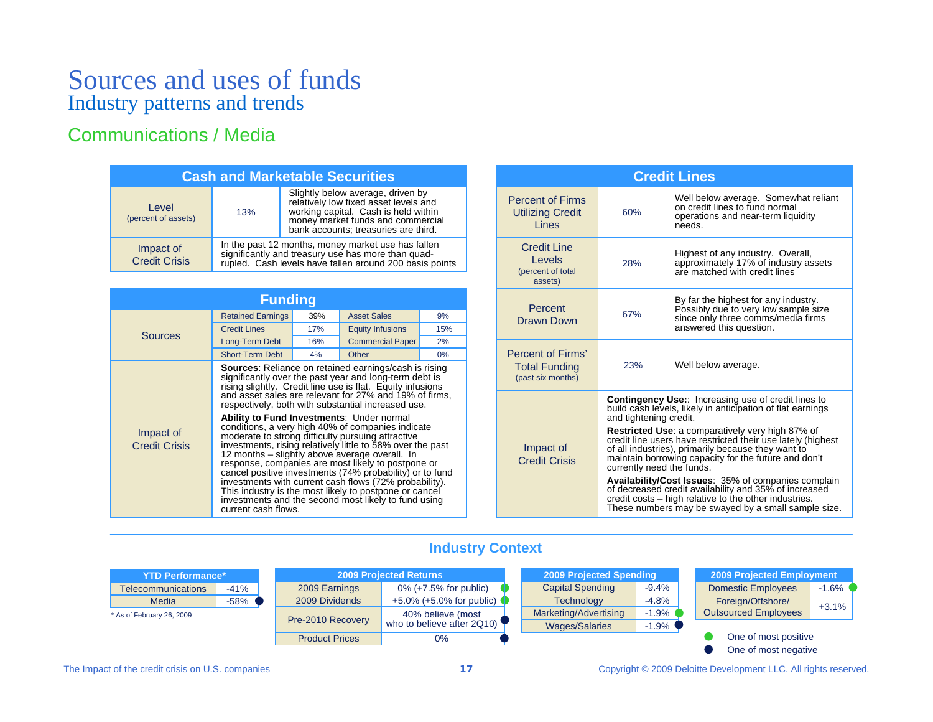## Communications / Media

| <b>Cash and Marketable Securities</b> |                                                                                                                                                                     |                                                                                                                                                                                                 |  |  |
|---------------------------------------|---------------------------------------------------------------------------------------------------------------------------------------------------------------------|-------------------------------------------------------------------------------------------------------------------------------------------------------------------------------------------------|--|--|
| Level<br>(percent of assets)          | 13%                                                                                                                                                                 | Slightly below average, driven by<br>relatively low fixed asset levels and<br>working capital. Cash is held within<br>money market funds and commercial<br>bank accounts; treasuries are third. |  |  |
| Impact of<br><b>Credit Crisis</b>     | In the past 12 months, money market use has fallen<br>significantly and treasury use has more than quad-<br>rupled. Cash levels have fallen around 200 basis points |                                                                                                                                                                                                 |  |  |

| <b>Funding</b>                    |                                                                         |     |                                                                                                                                                                                                                                                                                                                                                                                                                                                                                                                                                                                                                                                                                                                                                                                                                              |       |  |  |
|-----------------------------------|-------------------------------------------------------------------------|-----|------------------------------------------------------------------------------------------------------------------------------------------------------------------------------------------------------------------------------------------------------------------------------------------------------------------------------------------------------------------------------------------------------------------------------------------------------------------------------------------------------------------------------------------------------------------------------------------------------------------------------------------------------------------------------------------------------------------------------------------------------------------------------------------------------------------------------|-------|--|--|
|                                   | <b>Retained Earnings</b><br>39%                                         |     | <b>Asset Sales</b>                                                                                                                                                                                                                                                                                                                                                                                                                                                                                                                                                                                                                                                                                                                                                                                                           | 9%    |  |  |
|                                   | <b>Credit Lines</b>                                                     | 17% | <b>Equity Infusions</b>                                                                                                                                                                                                                                                                                                                                                                                                                                                                                                                                                                                                                                                                                                                                                                                                      | 15%   |  |  |
| <b>Sources</b>                    | Long-Term Debt                                                          | 16% | <b>Commercial Paper</b>                                                                                                                                                                                                                                                                                                                                                                                                                                                                                                                                                                                                                                                                                                                                                                                                      | 2%    |  |  |
|                                   | <b>Short-Term Debt</b>                                                  | 4%  | Other                                                                                                                                                                                                                                                                                                                                                                                                                                                                                                                                                                                                                                                                                                                                                                                                                        | $0\%$ |  |  |
| Impact of<br><b>Credit Crisis</b> | <b>Ability to Fund Investments: Under normal</b><br>current cash flows. |     | <b>Sources:</b> Reliance on retained earnings/cash is rising<br>significantly over the past year and long-term debt is<br>rising slightly. Credit line use is flat. Equity infusions<br>and asset sales are relevant for 27% and 19% of firms.<br>respectively, both with substantial increased use.<br>conditions, a very high 40% of companies indicate<br>moderate to strong difficulty pursuing attractive<br>investments, rising relatively little to 58% over the past<br>12 months - slightly above average overall. In<br>response, companies are most likely to postpone or<br>cancel positive investments (74% probability) or to fund<br>investments with current cash flows (72% probability).<br>This industry is the most likely to postpone or cancel<br>investments and the second most likely to fund using |       |  |  |

|                                                                                                                                                                                                                              |                                                                                                                                                    | <b>Credit Lines</b>                                                                                                                                                                                                                                               |  |  |
|------------------------------------------------------------------------------------------------------------------------------------------------------------------------------------------------------------------------------|----------------------------------------------------------------------------------------------------------------------------------------------------|-------------------------------------------------------------------------------------------------------------------------------------------------------------------------------------------------------------------------------------------------------------------|--|--|
| <b>Percent of Firms</b><br><b>Utilizing Credit</b><br>Lines                                                                                                                                                                  | Well below average. Somewhat reliant<br>on credit lines to fund normal<br>60%<br>operations and near-term liquidity<br>needs.                      |                                                                                                                                                                                                                                                                   |  |  |
| <b>Credit Line</b><br>Levels<br>(percent of total<br>assets)                                                                                                                                                                 | 28%                                                                                                                                                | Highest of any industry. Overall,<br>approximately 17% of industry assets<br>are matched with credit lines                                                                                                                                                        |  |  |
| Percent<br>Drawn Down                                                                                                                                                                                                        | 67%                                                                                                                                                | By far the highest for any industry.<br>Possibly due to very low sample size<br>since only three comms/media firms<br>answered this question.                                                                                                                     |  |  |
| Percent of Firms'<br><b>Total Funding</b><br>(past six months)                                                                                                                                                               | 23%                                                                                                                                                | Well below average.                                                                                                                                                                                                                                               |  |  |
|                                                                                                                                                                                                                              | <b>Contingency Use::</b> Increasing use of credit lines to<br>build cash levels, likely in anticipation of flat earnings<br>and tightening credit. |                                                                                                                                                                                                                                                                   |  |  |
| Impact of<br><b>Credit Crisis</b>                                                                                                                                                                                            |                                                                                                                                                    | <b>Restricted Use:</b> a comparatively very high 87% of<br>credit line users have restricted their use lately (highest<br>of all industries), primarily because they want to<br>maintain borrowing capacity for the future and don't<br>currently need the funds. |  |  |
| Availability/Cost Issues: 35% of companies complain<br>of decreased credit availability and 35% of increased<br>credit costs – high relative to the other industries.<br>These numbers may be swayed by a small sample size. |                                                                                                                                                    |                                                                                                                                                                                                                                                                   |  |  |

## **Industry Context**

| s*     | <b>2009 Projected Returns</b> |                             |  | <b>2009 Projected Spending</b> |         |  |
|--------|-------------------------------|-----------------------------|--|--------------------------------|---------|--|
| $-41%$ | 2009 Earnings                 | $0\%$ (+7.5% for public)    |  | <b>Capital Spending</b>        | $-9.4%$ |  |
| $-58%$ | 2009 Dividends                | $+5.0\%$ (+5.0% for public) |  | <b>Technology</b>              | $-4.8%$ |  |
|        | Pre-2010 Recovery             | 40% believe (most           |  | Marketing/Advertising          | $-1.9%$ |  |
|        |                               | who to believe after 2Q10)  |  | <b>Wages/Salaries</b>          | $-1.9%$ |  |
|        | <b>Product Prices</b>         | 0%                          |  |                                |         |  |

| 2009 Projected Employment                        |                      |  |  |  |  |  |
|--------------------------------------------------|----------------------|--|--|--|--|--|
| <b>Domestic Employees</b>                        | $-1.6%$              |  |  |  |  |  |
| Foreign/Offshore/<br><b>Outsourced Employees</b> | $+3.1%$              |  |  |  |  |  |
|                                                  | One of most positive |  |  |  |  |  |

One of most negative

Telecommunications **YTD Performance** 

**Media** 

\* As of February 26, 2009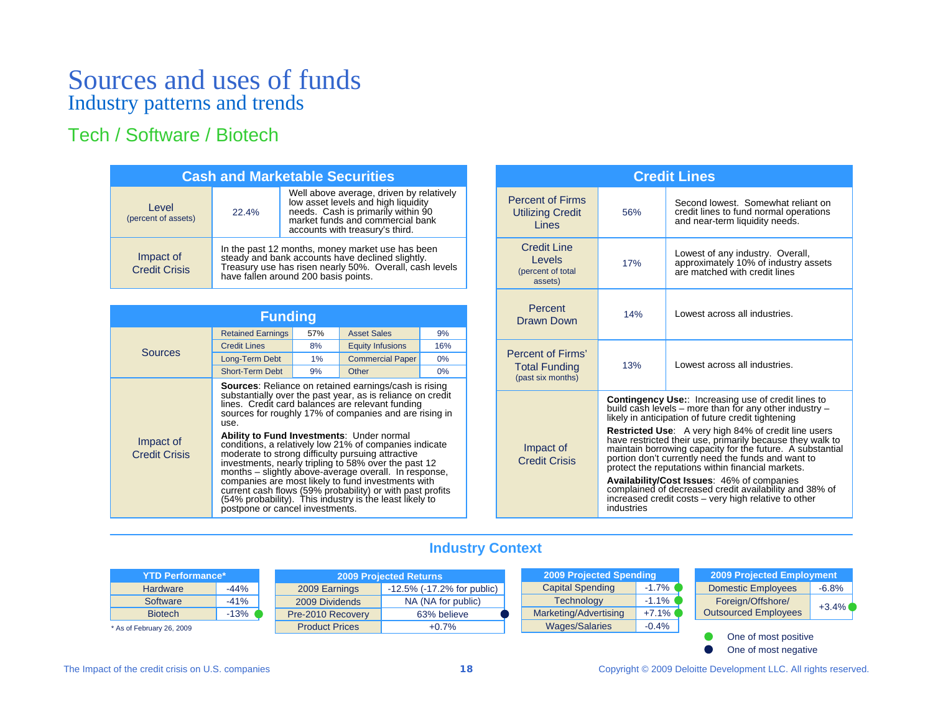## Tech / Software / Biotech

| <b>Cash and Marketable Securities</b> |                                                                                                                                                                                                      |                                                                                                                                                                                              |  |  |  |
|---------------------------------------|------------------------------------------------------------------------------------------------------------------------------------------------------------------------------------------------------|----------------------------------------------------------------------------------------------------------------------------------------------------------------------------------------------|--|--|--|
| Level<br>(percent of assets)          | 22.4%                                                                                                                                                                                                | Well above average, driven by relatively<br>low asset levels and high liquidity<br>needs. Cash is primarily within 90<br>market funds and commercial bank<br>accounts with treasury's third. |  |  |  |
| Impact of<br><b>Credit Crisis</b>     | In the past 12 months, money market use has been steady and bank accounts have declined slightly.<br>Treasury use has risen nearly 50%. Overall, cash levels<br>have fallen around 200 basis points. |                                                                                                                                                                                              |  |  |  |

| <b>Funding</b>                    |                                                                                                                                                                                                                                                                                                                                                                                                                                                                                                                                                                                                                                                                                                                                                       |     |                         |       |  |  |
|-----------------------------------|-------------------------------------------------------------------------------------------------------------------------------------------------------------------------------------------------------------------------------------------------------------------------------------------------------------------------------------------------------------------------------------------------------------------------------------------------------------------------------------------------------------------------------------------------------------------------------------------------------------------------------------------------------------------------------------------------------------------------------------------------------|-----|-------------------------|-------|--|--|
|                                   | <b>Retained Earnings</b>                                                                                                                                                                                                                                                                                                                                                                                                                                                                                                                                                                                                                                                                                                                              | 57% | <b>Asset Sales</b>      | 9%    |  |  |
| <b>Sources</b>                    | <b>Credit Lines</b>                                                                                                                                                                                                                                                                                                                                                                                                                                                                                                                                                                                                                                                                                                                                   | 8%  | <b>Equity Infusions</b> | 16%   |  |  |
|                                   | Long-Term Debt                                                                                                                                                                                                                                                                                                                                                                                                                                                                                                                                                                                                                                                                                                                                        | 1%  | <b>Commercial Paper</b> | $0\%$ |  |  |
|                                   | <b>Short-Term Debt</b>                                                                                                                                                                                                                                                                                                                                                                                                                                                                                                                                                                                                                                                                                                                                | 9%  | Other                   | $0\%$ |  |  |
| Impact of<br><b>Credit Crisis</b> | <b>Sources:</b> Reliance on retained earnings/cash is rising<br>substantially over the past year, as is reliance on credit<br>lines. Credit card balances are relevant funding<br>sources for roughly 17% of companies and are rising in<br>use.<br><b>Ability to Fund Investments: Under normal</b><br>conditions, a relatively low 21% of companies indicate<br>moderate to strong difficulty pursuing attractive<br>investments, nearly tripling to 58% over the past 12<br>months – slightly above-average overall. In response,<br>companies are most likely to fund investments with<br>current cash flows (59% probability) or with past profits<br>(54% probability). This industry is the least likely to<br>postpone or cancel investments. |     |                         |       |  |  |

| <b>Credit Lines</b>                                            |                                                                                                                                                                            |                                                                                                                                                                                                                                                                                           |  |  |
|----------------------------------------------------------------|----------------------------------------------------------------------------------------------------------------------------------------------------------------------------|-------------------------------------------------------------------------------------------------------------------------------------------------------------------------------------------------------------------------------------------------------------------------------------------|--|--|
| <b>Percent of Firms</b><br><b>Utilizing Credit</b><br>Lines    | 56%                                                                                                                                                                        | Second lowest. Somewhat reliant on<br>credit lines to fund normal operations<br>and near-term liquidity needs.                                                                                                                                                                            |  |  |
| <b>Credit Line</b><br>Levels<br>(percent of total<br>assets)   | 17%                                                                                                                                                                        | Lowest of any industry. Overall,<br>approximately 10% of industry assets<br>are matched with credit lines                                                                                                                                                                                 |  |  |
| Percent<br><b>Drawn Down</b>                                   | 14%                                                                                                                                                                        | Lowest across all industries.                                                                                                                                                                                                                                                             |  |  |
| Percent of Firms'<br><b>Total Funding</b><br>(past six months) | Lowest across all industries.<br>13%                                                                                                                                       |                                                                                                                                                                                                                                                                                           |  |  |
|                                                                |                                                                                                                                                                            | <b>Contingency Use::</b> Increasing use of credit lines to<br>build cash levels – more than for any other industry –<br>likely in anticipation of future credit tightening                                                                                                                |  |  |
| Impact of<br><b>Credit Crisis</b>                              |                                                                                                                                                                            | Restricted Use: A very high 84% of credit line users<br>have restricted their use, primarily because they walk to<br>maintain borrowing capacity for the future. A substantial<br>portion don't currently need the funds and want to<br>protect the reputations within financial markets. |  |  |
|                                                                | Availability/Cost Issues: 46% of companies<br>complained of decreased credit availability and 38% of<br>increased credit costs – very high relative to other<br>industries |                                                                                                                                                                                                                                                                                           |  |  |

## **Industry Context**

|                           | <b>YTD Performance*</b> |                       | <b>2009 Projected Returns</b> |                                   | 2009 Projected Spending |          | 2009 Projected Employment |                             |          |
|---------------------------|-------------------------|-----------------------|-------------------------------|-----------------------------------|-------------------------|----------|---------------------------|-----------------------------|----------|
|                           | Hardware                | -44%                  | 2009 Earnings                 | $-12.5\%$ ( $-17.2\%$ for public) | <b>Capital Spending</b> | $-1.7\%$ |                           | <b>Domestic Employees</b>   | -6.8%    |
|                           | Software                | $-41%$                | 2009 Dividends                | NA (NA for public)                | <b>Technology</b>       | $-1.1\%$ |                           | Foreign/Offshore/           | $+3.4\%$ |
|                           | <b>Biotech</b>          | $13%$ (               | Pre-2010 Recovery             | 63% believe                       | Marketing/Advertising   | $+7.1\%$ |                           | <b>Outsourced Employees</b> |          |
| * As of February 26, 2009 |                         | <b>Product Prices</b> | +0.7%                         | Wages/Salaries                    | $-0.4%$                 |          |                           |                             |          |

One of most positive One of most negative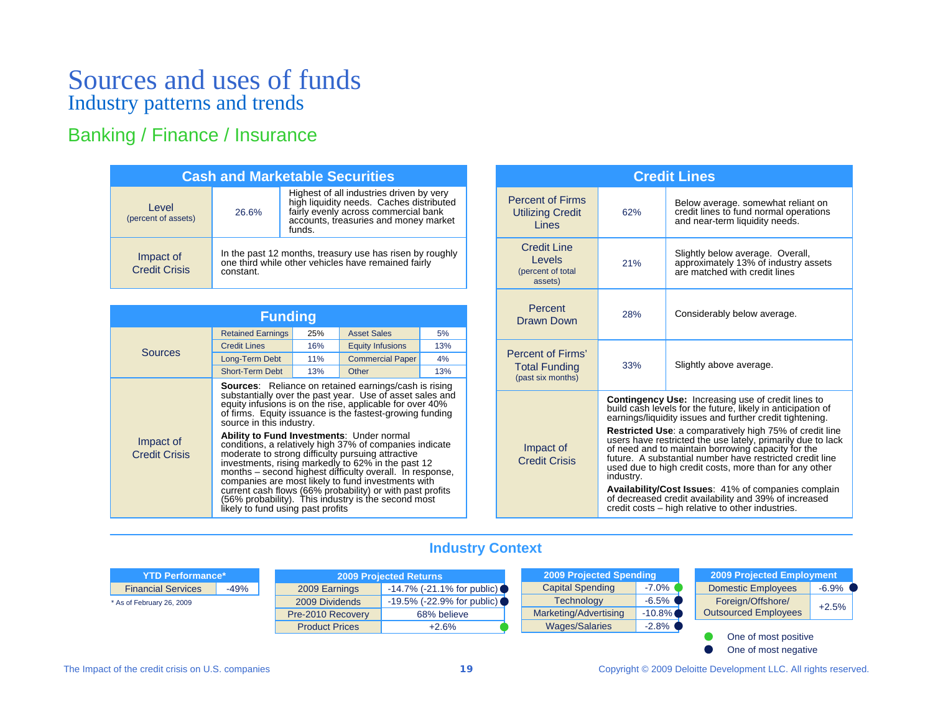## Banking / Finance / Insurance

| <b>Cash and Marketable Securities</b> |                                                                                                                              |                                                                                                                                                                                 |  |  |  |
|---------------------------------------|------------------------------------------------------------------------------------------------------------------------------|---------------------------------------------------------------------------------------------------------------------------------------------------------------------------------|--|--|--|
| Level<br>(percent of assets)          | 26.6%                                                                                                                        | Highest of all industries driven by very<br>high liquidity needs. Caches distributed<br>fairly evenly across commercial bank<br>accounts, treasuries and money market<br>funds. |  |  |  |
| Impact of<br><b>Credit Crisis</b>     | In the past 12 months, treasury use has risen by roughly<br>one third while other vehicles have remained fairly<br>constant. |                                                                                                                                                                                 |  |  |  |

| <b>Funding</b>                    |                                                                              |     |                                                                                                                                                                                                                                                                                                                                                                                                                                                                                                                                                                                                                                                              |     |  |  |
|-----------------------------------|------------------------------------------------------------------------------|-----|--------------------------------------------------------------------------------------------------------------------------------------------------------------------------------------------------------------------------------------------------------------------------------------------------------------------------------------------------------------------------------------------------------------------------------------------------------------------------------------------------------------------------------------------------------------------------------------------------------------------------------------------------------------|-----|--|--|
| <b>Sources</b>                    | <b>Retained Earnings</b>                                                     | 25% | <b>Asset Sales</b>                                                                                                                                                                                                                                                                                                                                                                                                                                                                                                                                                                                                                                           | 5%  |  |  |
|                                   | <b>Credit Lines</b>                                                          | 16% | <b>Equity Infusions</b>                                                                                                                                                                                                                                                                                                                                                                                                                                                                                                                                                                                                                                      | 13% |  |  |
|                                   | Long-Term Debt                                                               | 11% | <b>Commercial Paper</b>                                                                                                                                                                                                                                                                                                                                                                                                                                                                                                                                                                                                                                      | 4%  |  |  |
|                                   | <b>Short-Term Debt</b>                                                       | 13% | Other                                                                                                                                                                                                                                                                                                                                                                                                                                                                                                                                                                                                                                                        | 13% |  |  |
| Impact of<br><b>Credit Crisis</b> | source in this industry.<br><b>Ability to Fund Investments: Under normal</b> |     | <b>Sources:</b> Reliance on retained earnings/cash is rising<br>substantially over the past year. Use of asset sales and<br>equity infusions is on the rise, applicable for over 40%<br>of firms. Equity issuance is the fastest-growing funding<br>conditions, a relatively high 37% of companies indicate<br>moderate to strong difficulty pursuing attractive<br>investments, rising markedly to 62% in the past 12<br>months – second highest difficulty overall. In response,<br>companies are most likely to fund investments with<br>current cash flows (66% probability) or with past profits<br>(56% probability). This industry is the second most |     |  |  |

| <b>Credit Lines</b>                                                                                                                                                                                                                                                                                                                                         |                                                                                                                                                                   |                                                                                                                                                                                      |  |  |  |
|-------------------------------------------------------------------------------------------------------------------------------------------------------------------------------------------------------------------------------------------------------------------------------------------------------------------------------------------------------------|-------------------------------------------------------------------------------------------------------------------------------------------------------------------|--------------------------------------------------------------------------------------------------------------------------------------------------------------------------------------|--|--|--|
| <b>Percent of Firms</b><br><b>Utilizing Credit</b><br>Lines                                                                                                                                                                                                                                                                                                 | Below average. somewhat reliant on<br>credit lines to fund normal operations<br>62%<br>and near-term liquidity needs.                                             |                                                                                                                                                                                      |  |  |  |
| <b>Credit Line</b><br>Levels<br>(percent of total<br>assets)                                                                                                                                                                                                                                                                                                | Slightly below average. Overall,<br>approximately 13% of industry assets<br>21%<br>are matched with credit lines                                                  |                                                                                                                                                                                      |  |  |  |
| Percent<br>Drawn Down                                                                                                                                                                                                                                                                                                                                       | Considerably below average.<br>28%                                                                                                                                |                                                                                                                                                                                      |  |  |  |
| Percent of Firms'<br><b>Total Funding</b><br>(past six months)                                                                                                                                                                                                                                                                                              | Slightly above average.<br>33%                                                                                                                                    |                                                                                                                                                                                      |  |  |  |
|                                                                                                                                                                                                                                                                                                                                                             |                                                                                                                                                                   | <b>Contingency Use:</b> Increasing use of credit lines to<br>build cash levels for the future, likely in anticipation of<br>earnings/liquidity issues and further credit tightening. |  |  |  |
| <b>Restricted Use:</b> a comparatively high 75% of credit line<br>users have restricted the use lately, primarily due to lack<br>Impact of<br>of need and to maintain borrowing capacity for the<br>future. A substantial number have restricted credit line<br><b>Credit Crisis</b><br>used due to high credit costs, more than for any other<br>industry. |                                                                                                                                                                   |                                                                                                                                                                                      |  |  |  |
|                                                                                                                                                                                                                                                                                                                                                             | Availability/Cost Issues: 41% of companies complain<br>of decreased credit availability and 39% of increased<br>credit costs - high relative to other industries. |                                                                                                                                                                                      |  |  |  |

## **Industry Context**

| <b>YTD Performance*</b>   |        | <b>2009 Projected Returns</b> |                                   | 2009 Projected Spending |           |  | 2009 Projected Employment   |          |
|---------------------------|--------|-------------------------------|-----------------------------------|-------------------------|-----------|--|-----------------------------|----------|
| <b>Financial Services</b> | $-49%$ | 2009 Earnings                 | $-14.7\%$ ( $-21.1\%$ for public) | <b>Capital Spending</b> | $-7.0\%$  |  | <b>Domestic Employees</b>   | $-6.9\%$ |
| * As of February 26, 2009 |        | 2009 Dividends                | $-19.5\%$ ( $-22.9\%$ for public) | <b>Technology</b>       | $-6.5\%$  |  | Foreign/Offshore/           | $+2.5%$  |
|                           |        | Pre-2010 Recovery             | 68% believe                       | Marketing/Advertising   | $-10.8\%$ |  | <b>Outsourced Employees</b> |          |
|                           |        | <b>Product Prices</b>         | $+2.6%$                           | <b>Wages/Salaries</b>   | $-2.8\%$  |  |                             |          |
|                           |        |                               |                                   |                         |           |  | One of most positive        |          |

One of most negative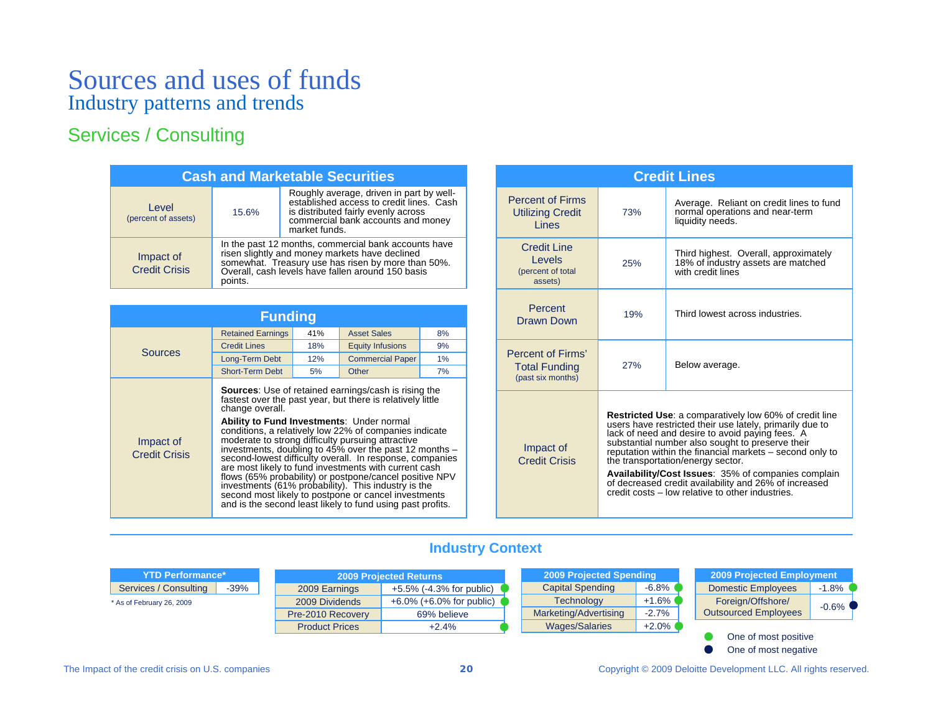## Services / Consulting

| <b>Cash and Marketable Securities</b> |                                                                                                                                                                                                                              |                                                                                                                                                                                    |  |  |  |
|---------------------------------------|------------------------------------------------------------------------------------------------------------------------------------------------------------------------------------------------------------------------------|------------------------------------------------------------------------------------------------------------------------------------------------------------------------------------|--|--|--|
| Level<br>(percent of assets)          | 15.6%                                                                                                                                                                                                                        | Roughly average, driven in part by well-<br>established access to credit lines. Cash<br>is distributed fairly evenly across<br>commercial bank accounts and money<br>market funds. |  |  |  |
| Impact of<br><b>Credit Crisis</b>     | In the past 12 months, commercial bank accounts have<br>risen slightly and money markets have declined<br>somewhat. Treasury use has risen by more than 50%.<br>Overall, cash levels have fallen around 150 basis<br>points. |                                                                                                                                                                                    |  |  |  |

| <b>Funding</b>                    |                                                                                                                                                                                                                                                                                                                                                                                                                                                                                                                                                                                                                                                                                                                                        |     |                         |    |  |  |
|-----------------------------------|----------------------------------------------------------------------------------------------------------------------------------------------------------------------------------------------------------------------------------------------------------------------------------------------------------------------------------------------------------------------------------------------------------------------------------------------------------------------------------------------------------------------------------------------------------------------------------------------------------------------------------------------------------------------------------------------------------------------------------------|-----|-------------------------|----|--|--|
|                                   | <b>Retained Earnings</b>                                                                                                                                                                                                                                                                                                                                                                                                                                                                                                                                                                                                                                                                                                               | 41% | <b>Asset Sales</b>      | 8% |  |  |
| <b>Sources</b>                    | <b>Credit Lines</b>                                                                                                                                                                                                                                                                                                                                                                                                                                                                                                                                                                                                                                                                                                                    | 18% | <b>Equity Infusions</b> | 9% |  |  |
|                                   | Long-Term Debt                                                                                                                                                                                                                                                                                                                                                                                                                                                                                                                                                                                                                                                                                                                         | 12% | <b>Commercial Paper</b> | 1% |  |  |
|                                   | <b>Short-Term Debt</b>                                                                                                                                                                                                                                                                                                                                                                                                                                                                                                                                                                                                                                                                                                                 | 5%  | Other                   | 7% |  |  |
| Impact of<br><b>Credit Crisis</b> | <b>Sources:</b> Use of retained earnings/cash is rising the<br>fastest over the past year, but there is relatively little<br>change overall.<br><b>Ability to Fund Investments: Under normal</b><br>conditions, a relatively low 22% of companies indicate<br>moderate to strong difficulty pursuing attractive<br>investments, doubling to 45% over the past 12 months –<br>second-lowest difficulty overall. In response, companies<br>are most likely to fund investments with current cash<br>flows (65% probability) or postpone/cancel positive NPV<br>investments (61% probability). This industry is the<br>second most likely to postpone or cancel investments<br>and is the second least likely to fund using past profits. |     |                         |    |  |  |

| <b>Credit Lines</b>                                            |                                                                                                                                                                                                                                                                                                                                                                                                                                                                                                       |                                                                                                 |  |  |
|----------------------------------------------------------------|-------------------------------------------------------------------------------------------------------------------------------------------------------------------------------------------------------------------------------------------------------------------------------------------------------------------------------------------------------------------------------------------------------------------------------------------------------------------------------------------------------|-------------------------------------------------------------------------------------------------|--|--|
| <b>Percent of Firms</b><br><b>Utilizing Credit</b><br>Lines    | 73%                                                                                                                                                                                                                                                                                                                                                                                                                                                                                                   | Average. Reliant on credit lines to fund<br>normal operations and near-term<br>liquidity needs. |  |  |
| Credit Line<br>Levels<br>(percent of total<br>assets)          | Third highest. Overall, approximately<br>18% of industry assets are matched<br>25%<br>with credit lines                                                                                                                                                                                                                                                                                                                                                                                               |                                                                                                 |  |  |
| Percent<br><b>Drawn Down</b>                                   | 19%                                                                                                                                                                                                                                                                                                                                                                                                                                                                                                   | Third lowest across industries.                                                                 |  |  |
| Percent of Firms'<br><b>Total Funding</b><br>(past six months) | Below average.<br>27%                                                                                                                                                                                                                                                                                                                                                                                                                                                                                 |                                                                                                 |  |  |
| Impact of<br><b>Credit Crisis</b>                              | <b>Restricted Use:</b> a comparatively low 60% of credit line<br>users have restricted their use lately, primarily due to<br>lack of need and desire to avoid paying fees. A<br>substantial number also sought to preserve their<br>reputation within the financial markets - second only to<br>the transportation/energy sector.<br>Availability/Cost Issues: 35% of companies complain<br>of decreased credit availability and 26% of increased<br>credit costs - low relative to other industries. |                                                                                                 |  |  |

## **Industry Context**

| NYTD Performance* <sup>\</sup>  | <b>2009 Projected Returns</b>    |                             |  | 2009 Projected Spending |          | 2009 Projected Employment   |          |
|---------------------------------|----------------------------------|-----------------------------|--|-------------------------|----------|-----------------------------|----------|
| $-39%$<br>Services / Consulting | 2009 Earnings                    | $+5.5\%$ (-4.3% for public) |  | <b>Capital Spending</b> | $-6.8\%$ | <b>Domestic Employees</b>   | $-1.8%$  |
| * As of February 26, 2009       | 2009 Dividends                   | $+6.0\%$ (+6.0% for public) |  | <b>Technology</b>       | $+1.6\%$ | Foreign/Offshore/           | $-0.6\%$ |
|                                 | Pre-2010 Recovery<br>69% believe |                             |  | Marketing/Advertising   | $-2.7%$  | <b>Outsourced Employees</b> |          |
|                                 | <b>Product Prices</b>            | $+2.4%$                     |  | Wages/Salaries          | $+2.0\%$ |                             |          |
|                                 |                                  |                             |  |                         |          | One of most positive        |          |
|                                 |                                  |                             |  |                         |          | One of most negative        |          |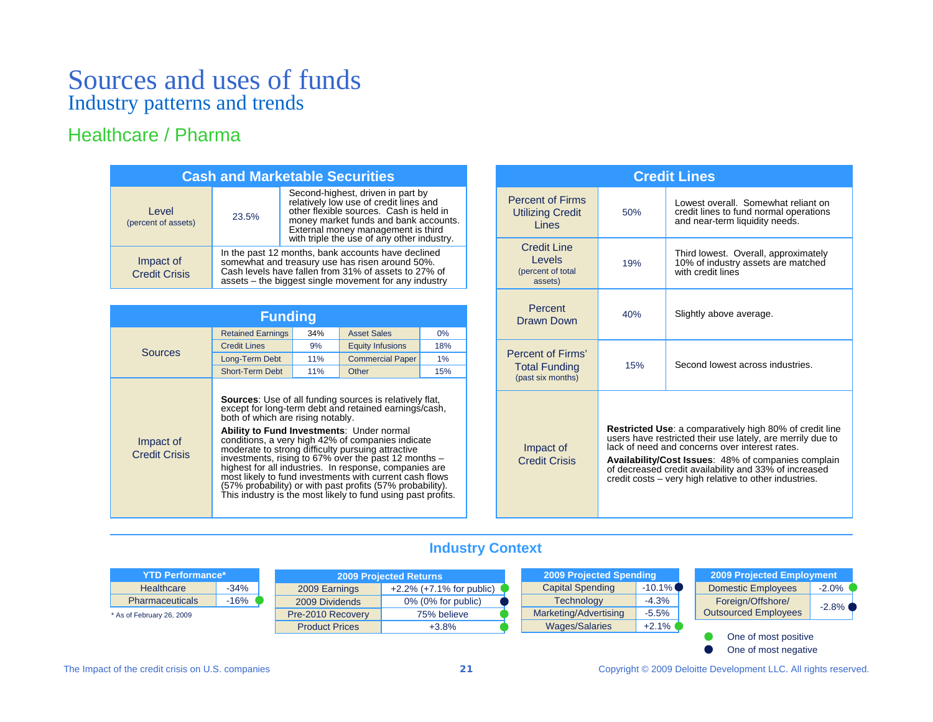## Healthcare / Pharma

| <b>Cash and Marketable Securities</b> |                                                                                                                                                                                                                        |                                                                                                                                                                                                                                                     |  |  |  |  |  |  |
|---------------------------------------|------------------------------------------------------------------------------------------------------------------------------------------------------------------------------------------------------------------------|-----------------------------------------------------------------------------------------------------------------------------------------------------------------------------------------------------------------------------------------------------|--|--|--|--|--|--|
| Level<br>(percent of assets)          | 23.5%                                                                                                                                                                                                                  | Second-highest, driven in part by<br>relatively low use of credit lines and<br>other flexible sources. Cash is held in<br>money market funds and bank accounts.<br>External money management is third<br>with triple the use of any other industry. |  |  |  |  |  |  |
| Impact of<br><b>Credit Crisis</b>     | In the past 12 months, bank accounts have declined<br>somewhat and treasury use has risen around 50%.<br>Cash levels have fallen from 31% of assets to 27% of<br>assets – the biggest single movement for any industry |                                                                                                                                                                                                                                                     |  |  |  |  |  |  |

| <b>Funding</b>                    |                                                                                |     |                                                                                                                                                                                                                                                                                                                                                                                                                                                                                                                                             |       |  |  |  |  |  |
|-----------------------------------|--------------------------------------------------------------------------------|-----|---------------------------------------------------------------------------------------------------------------------------------------------------------------------------------------------------------------------------------------------------------------------------------------------------------------------------------------------------------------------------------------------------------------------------------------------------------------------------------------------------------------------------------------------|-------|--|--|--|--|--|
|                                   | <b>Retained Earnings</b><br>34%                                                |     | <b>Asset Sales</b>                                                                                                                                                                                                                                                                                                                                                                                                                                                                                                                          | $0\%$ |  |  |  |  |  |
| <b>Sources</b>                    | <b>Credit Lines</b>                                                            | 9%  | <b>Equity Infusions</b>                                                                                                                                                                                                                                                                                                                                                                                                                                                                                                                     | 18%   |  |  |  |  |  |
|                                   | Long-Term Debt                                                                 | 11% | <b>Commercial Paper</b>                                                                                                                                                                                                                                                                                                                                                                                                                                                                                                                     | 1%    |  |  |  |  |  |
|                                   | <b>Short-Term Debt</b>                                                         | 11% | Other                                                                                                                                                                                                                                                                                                                                                                                                                                                                                                                                       | 15%   |  |  |  |  |  |
| Impact of<br><b>Credit Crisis</b> | both of which are rising notably.<br>Ability to Fund Investments: Under normal |     | <b>Sources:</b> Use of all funding sources is relatively flat,<br>except for long-term debt and retained earnings/cash,<br>conditions, a very high 42% of companies indicate<br>moderate to strong difficulty pursuing attractive<br>investments, rising to 67% over the past 12 months -<br>highest for all industries. In response, companies are<br>most likely to fund investments with current cash flows<br>(57% probability) or with past profits (57% probability).<br>This industry is the most likely to fund using past profits. |       |  |  |  |  |  |

| <b>Credit Lines</b>                                            |                                                                                                                                                                                                                                                                                                                                                          |                                                                                                                 |  |  |  |  |  |  |  |
|----------------------------------------------------------------|----------------------------------------------------------------------------------------------------------------------------------------------------------------------------------------------------------------------------------------------------------------------------------------------------------------------------------------------------------|-----------------------------------------------------------------------------------------------------------------|--|--|--|--|--|--|--|
| <b>Percent of Firms</b><br><b>Utilizing Credit</b><br>Lines    | 50%                                                                                                                                                                                                                                                                                                                                                      | Lowest overall. Somewhat reliant on<br>credit lines to fund normal operations<br>and near-term liquidity needs. |  |  |  |  |  |  |  |
| Credit Line<br>Levels<br>(percent of total<br>assets)          | 19%                                                                                                                                                                                                                                                                                                                                                      | Third lowest. Overall, approximately<br>10% of industry assets are matched<br>with credit lines                 |  |  |  |  |  |  |  |
| Percent<br>Drawn Down                                          | 40%                                                                                                                                                                                                                                                                                                                                                      | Slightly above average.                                                                                         |  |  |  |  |  |  |  |
| Percent of Firms'<br><b>Total Funding</b><br>(past six months) | 15%                                                                                                                                                                                                                                                                                                                                                      | Second lowest across industries.                                                                                |  |  |  |  |  |  |  |
| Impact of<br><b>Credit Crisis</b>                              | <b>Restricted Use:</b> a comparatively high 80% of credit line<br>users have restricted their use lately, are merrily due to<br>lack of need and concerns over interest rates.<br>Availability/Cost Issues: 48% of companies complain<br>of decreased credit availability and 33% of increased<br>credit costs - very high relative to other industries. |                                                                                                                 |  |  |  |  |  |  |  |

## **Industry Context**

| <b>YTD Performance*</b><br><b>2009 Projected Returns</b> |        | 2009 Projected Spending                 |                             | 2009 Projected Employment |           |                             |         |
|----------------------------------------------------------|--------|-----------------------------------------|-----------------------------|---------------------------|-----------|-----------------------------|---------|
| Healthcare                                               | -34%   | 2009 Earnings                           | $+2.2\%$ (+7.1% for public) | <b>Capital Spending</b>   | $-10.1\%$ | <b>Domestic Employees</b>   | $-2.0%$ |
| <b>Pharmaceuticals</b>                                   | $-16%$ | 2009 Dividends<br>$0\%$ (0% for public) |                             | <b>Technology</b>         | $-4.3%$   | Foreign/Offshore/           | $-2.8%$ |
| * As of February 26, 2009                                |        | Pre-2010 Recovery                       | 75% believe                 | Marketing/Advertising     | $-5.5%$   | <b>Outsourced Employees</b> |         |
|                                                          |        | <b>Product Prices</b>                   | $+3.8%$                     | <b>Wages/Salaries</b>     | $+2.1\%$  |                             |         |
|                                                          |        |                                         |                             |                           |           | One of most positive        |         |

One of most negative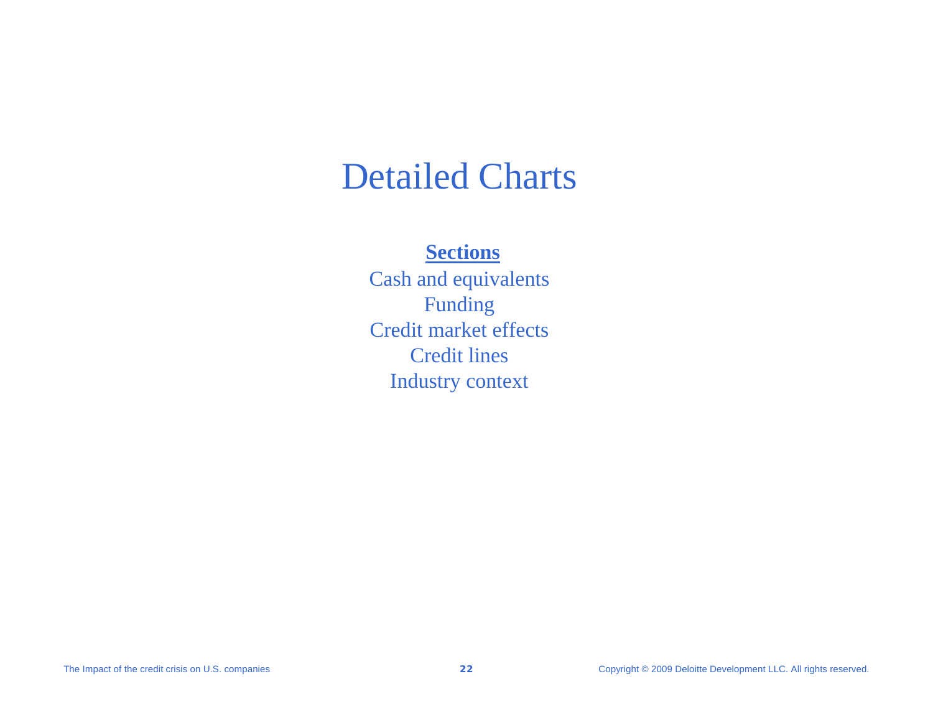# Detailed Charts

## **Sections**

Cash and equivalents Funding Credit market effectsCredit linesIndustry context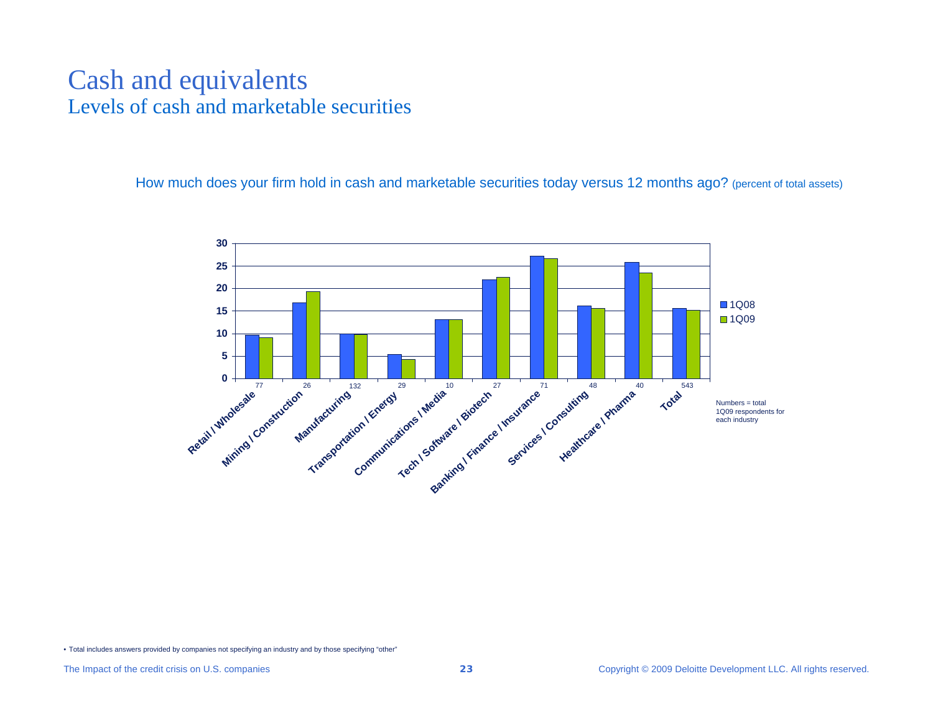# Cash and equivalents Levels of cash and marketable securities

How much does your firm hold in cash and marketable securities today versus 12 months ago? (percent of total assets)

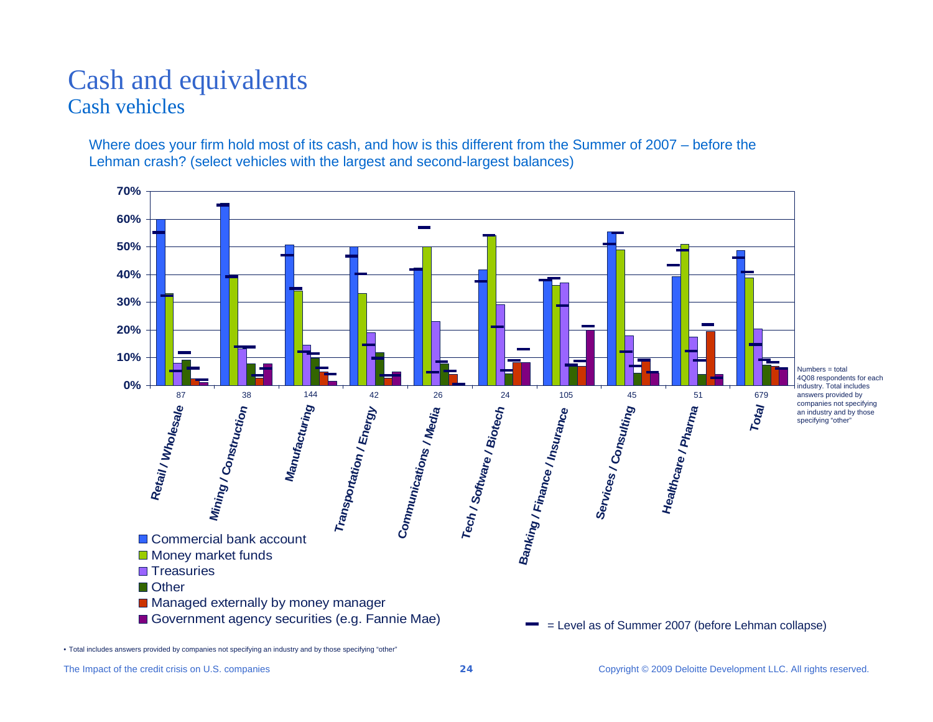# Cash and equivalents Cash vehicles

Where does your firm hold most of its cash, and how is this different from the Summer of 2007 – before the Lehman crash? (select vehicles with the largest and second-largest balances)

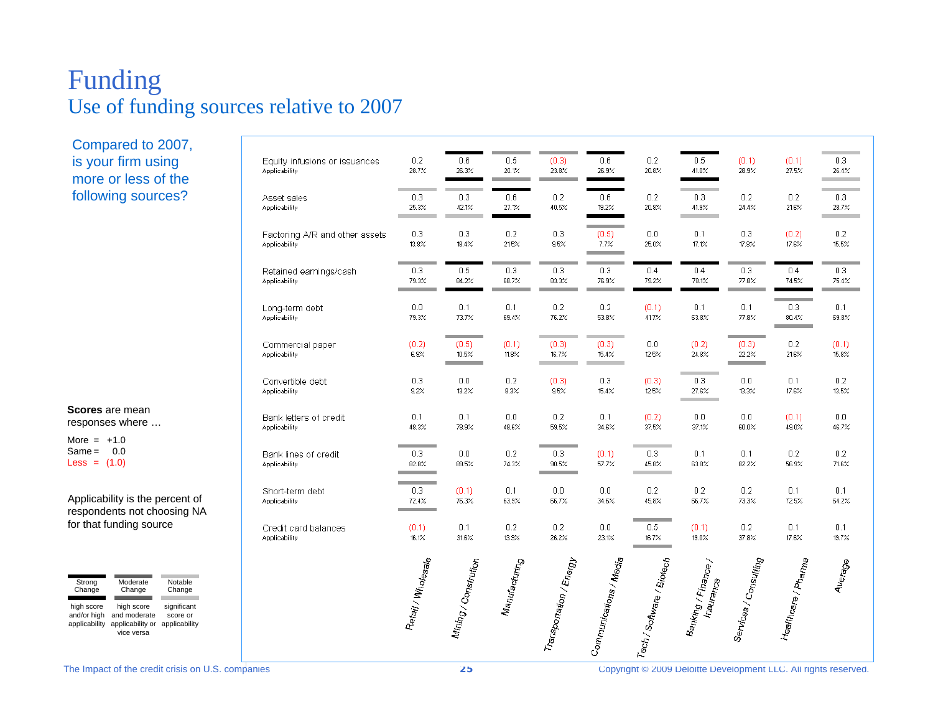# Funding Use of funding sources relative to 2007

Compared to 2007, is your firm using more or less of the following sources?

**Scores** are mean responses where …

More = +1.0  $Same = 0.0$ Less =  $(1.0)$ 

Applicability is the percent of respondents not choosing NA for that funding source

| Strong                                     | Moderate                                                     | Notable                                  |
|--------------------------------------------|--------------------------------------------------------------|------------------------------------------|
| Change                                     | Change                                                       | Change                                   |
| high score<br>and/or high<br>applicability | high score<br>and moderate<br>applicability or<br>vice versa | significant<br>score or<br>applicability |

|                                                | Retail / Wholesale | Mining / Constrution | $\nu_{a\eta_{1f\bar{a}}_{C\bar{t}}\mu_{\bar{f}\eta_{\bar{G}}}}$ | Transportation / Energy | - <sub>om<sub>munications / Media</sub></sub> | ech/Software/Biotech | $\mathsf{Bankrig}_{\ell} / \mathsf{Fin}_{\mathsf{Bnc}_\Theta / k}$<br><b>Insurance</b> | Services / Consulting                               | Healthcare / Phama | Average        |
|------------------------------------------------|--------------------|----------------------|-----------------------------------------------------------------|-------------------------|-----------------------------------------------|----------------------|----------------------------------------------------------------------------------------|-----------------------------------------------------|--------------------|----------------|
| Credit card balances                           | (0.1)              | 0.1                  | 0.2                                                             | 0.2                     | $0.0\,$                                       | 0.5                  | (0.1)                                                                                  | 0.2                                                 | 0.1                | 0.1            |
| Applicability                                  | 16.1%              | 31.6%                | 13.9%                                                           | 26.2%                   | 23.1%                                         | 16.7%                | 19.0%                                                                                  | 37.8%                                               | 17.6%              | 19.7%          |
| Short-term debt                                | 0.3                | (0.1)                | 0.1                                                             | 0.0                     | 0.0                                           | 0.2                  | 0.2                                                                                    | 0.2                                                 | 0.1                | 0.1            |
| Applicability                                  | 72.4%              | 76.3%                | 63.9%                                                           | 66.7%                   | 34.6%                                         | 45.8%                | 66.7%                                                                                  | 73.3%                                               | 72.5%              | 64.2%          |
| Bank lines of credit                           | 0.3                | 0.0                  | 0.2                                                             | 0.3                     | (0.1)                                         | 0.3                  | 0.1                                                                                    | 0.1                                                 | 0.2                | 0.2            |
| Applicability                                  | 82.8%              | 89.5%                | 74.3%                                                           | 90.5%                   | 57.7%                                         | 45.8%                | 63.8%                                                                                  | 82.2%                                               | 56.9%              | 71.6%          |
| Bank letters of credit                         | 0.1                | 0.1                  | 0.0                                                             | 0.2                     | 0.1                                           | (0.2)                | 0.0                                                                                    | 0.0                                                 | (0.1)              | 0.0            |
| Applicability                                  | 48.3%              | 78.9%                | 48.6%                                                           | 59.5%                   | 34.6%                                         | 37.5%                | 37.1%                                                                                  | 60.0%                                               | 49.0%              | 46.7%          |
| Convertible debt                               | 0.3                | 0.0                  | 0.2                                                             | (0.3)                   | 0.3                                           | (0.3)                | 0.3                                                                                    | 0.0                                                 | 0.1                | 0.2            |
| Applicability                                  | 9.2%               | 13.2%                | 8.3%                                                            | 9.5%                    | 15.4%                                         | 12.5%                | 27.6%                                                                                  | 13.3%                                               | 17.6%              | 13.5%          |
| Commercial paper<br>Applicability              | (0.2)<br>6.9%      | (0.5)<br>10.5%       | (0.1)<br>11.8%                                                  | (0.3)<br>16.7%          | (0.3)<br>15.4%                                | 0.0<br>12.5%         | (0.2)<br>24.8%                                                                         | <b>Contract Contract Contract</b><br>(0.3)<br>22.2% | 0.2<br>21.6%       | (0.1)<br>15.8% |
| Long-term debt                                 | 0.0                | 0.1                  | 0.1                                                             | 0.2                     | 0.2                                           | (0.1)                | 0.1                                                                                    | 0.1                                                 | 0.3                | 0.1            |
| Applicability                                  | 79.3%              | 73.7%                | 69.4%                                                           | 76.2%                   | 53.8%                                         | 41.7%                | 63.8%                                                                                  | 77.8%                                               | 80.4%              | 69.8%          |
| Retained earnings/cash                         | 0.3                | 0.5                  | 0.3                                                             | 0.3                     | 0.3                                           | 0.4                  | 0.4                                                                                    | 0.3                                                 | 0.4                | 0.3            |
| Applicability                                  | 79.3%              | 84.2%                | 68.7%                                                           | 83.3%                   | 76.9%                                         | 79.2%                | 78.1%                                                                                  | 77.8%                                               | 74.5%              | 75.4%          |
| Factoring A/R and other assets                 | 0.3                | 0.3                  | 0.2                                                             | 0.3                     | (0.5)                                         | 0.0                  | 0.1                                                                                    | 0.3                                                 | (0.2)              | 0.2            |
| Applicability                                  | 13.8%              | 18.4%                | 21.5%                                                           | 9.5%                    | 7.7%                                          | 25.0%                | 17.1%                                                                                  | 17.8%                                               | 17.6%              | 15.5%          |
| Asset sales                                    | 0.3                | 0.3                  | 0.6                                                             | 0.2                     | 0.6                                           | 0.2                  | 0.3                                                                                    | 0.2                                                 | 0.2                | 0.3            |
| Applicability                                  | 25.3%              | 42.1%                | 27.1%                                                           | 40.5%                   | 19.2%                                         | 20.8%                | 41.9%                                                                                  | 24.4%                                               | 21.6%              | 28.7%          |
| Equity infusions or issuances<br>Applicability | 0.2<br>28.7%       | 0.6<br>26.3%         | 0.5<br>20.1%<br>٠                                               | (0.3)<br>23.8%          | 0.6<br>26.9%                                  | 0.2<br>20.8%         | 0.5<br>41.0%                                                                           | (0.1)<br>28.9%                                      | (0.1)<br>27.5%     | 0.3<br>26.4%   |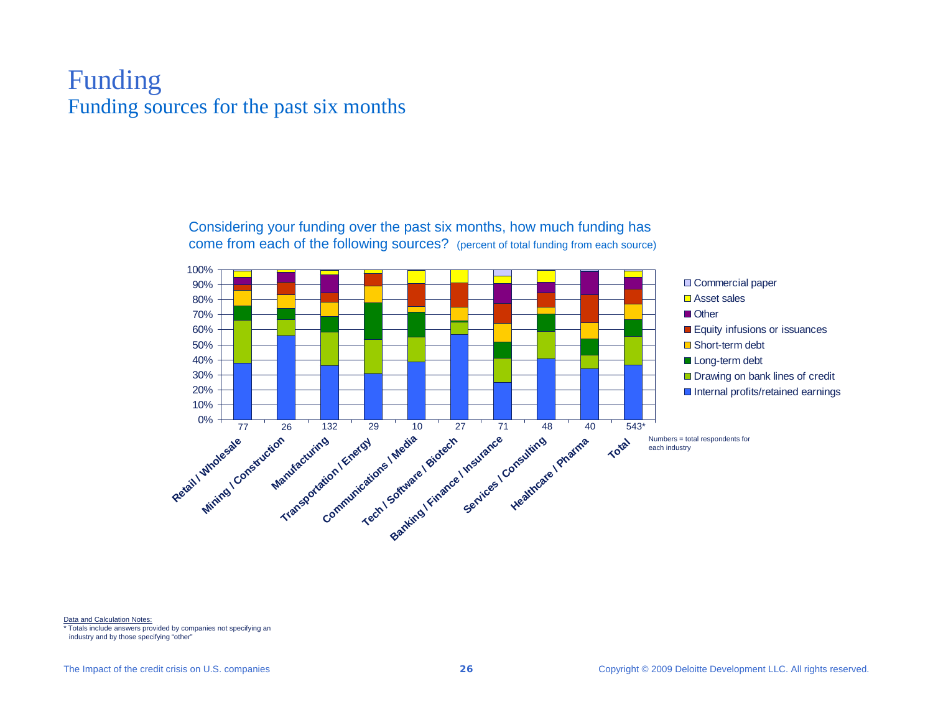# Funding Funding sources for the past six months

Considering your funding over the past six months, how much funding has come from each of the following sources? (percent of total funding from each source)



Data and Calculation Notes:

\* Totals include answers provided by companies not specifying an

industry and by those specifying "other"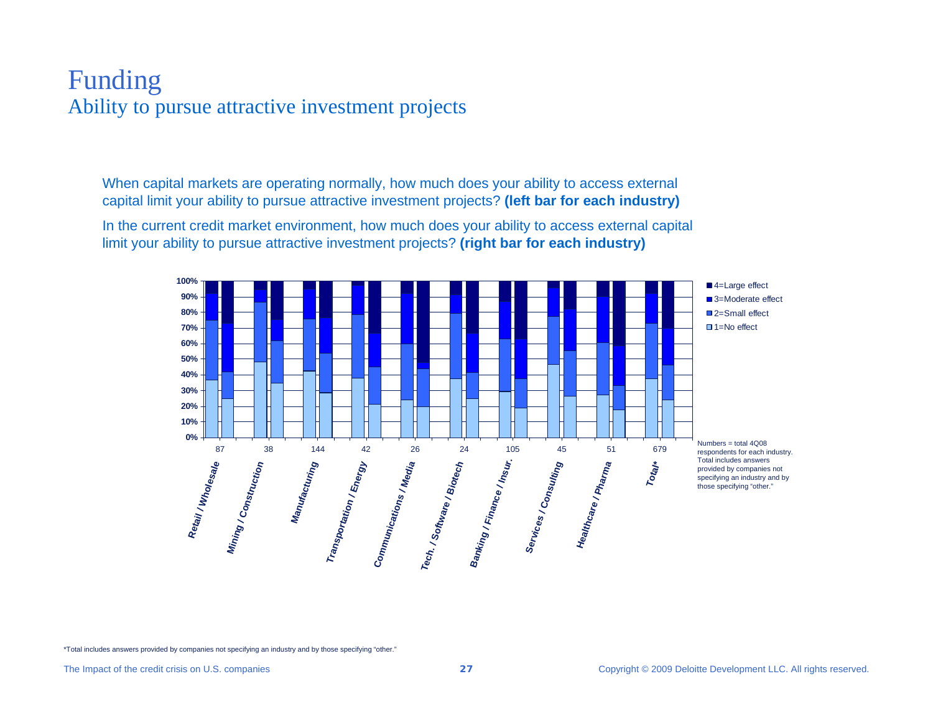# Funding Ability to pursue attractive investment projects

When capital markets are operating normally, how much does your ability to access external capital limit your ability to pursue attractive investment projects? **(left bar for each industry)**

In the current credit market environment, how much does your ability to access external capital limit your ability to pursue attractive investment projects? **(right bar for each industry)** 

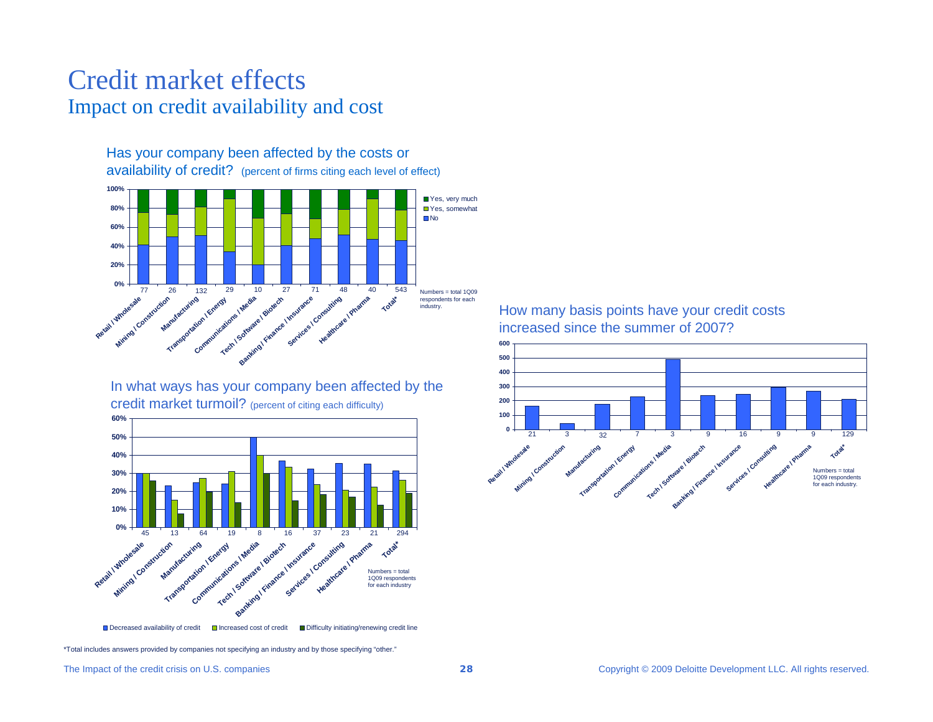# Credit market effectsImpact on credit availability and cost

Has your company been affected by the costs or



In what ways has your company been affected by the credit market turmoil? (percent of citing each difficulty)



How many basis points have your credit costs increased since the summer of 2007?

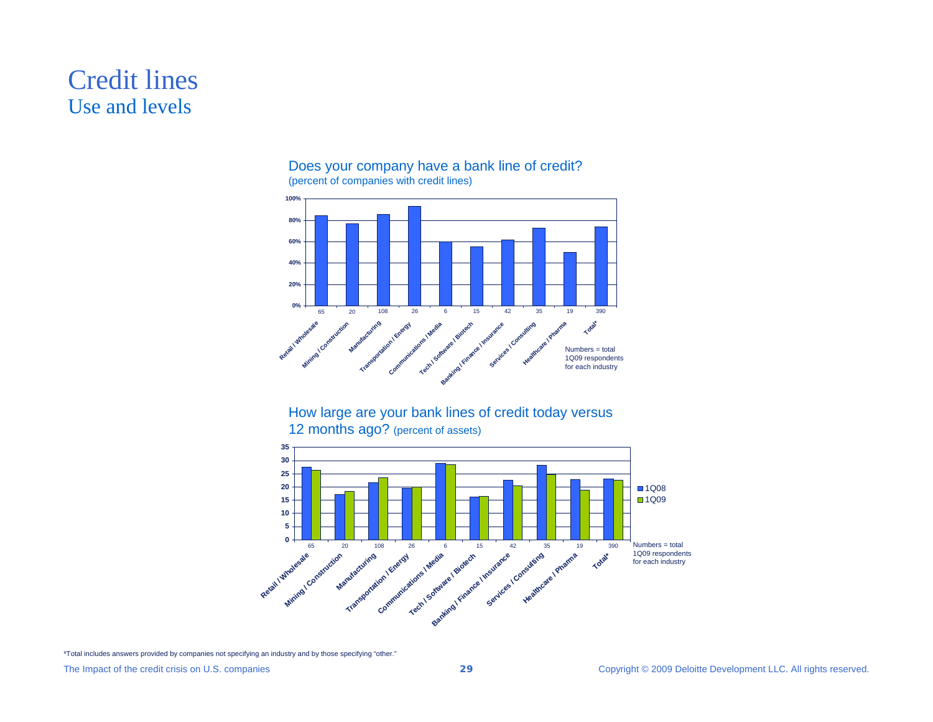# Credit lines Use and levels



## Does your company have a bank line of credit? (percent of companies with credit lines)



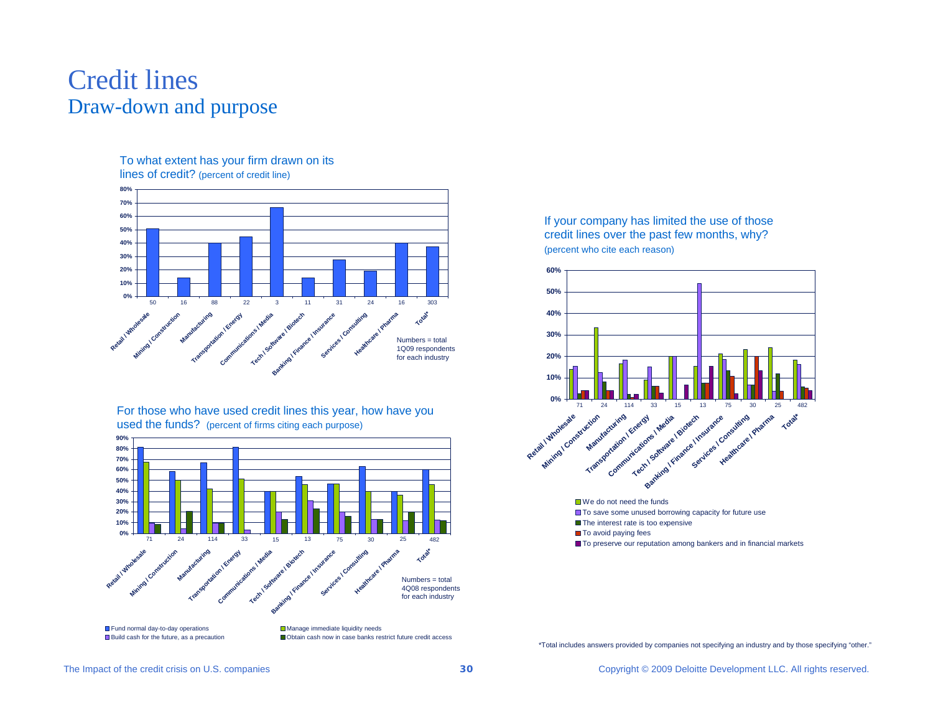# Credit linesDraw-down and purpose

#### To what extent has your firm drawn on its lines of credit? (percent of credit line)



For those who have used credit lines this year, how have you used the funds? (percent of firms citing each purpose)



If your company has limited the use of those credit lines over the past few months, why? (percent who cite each reason)

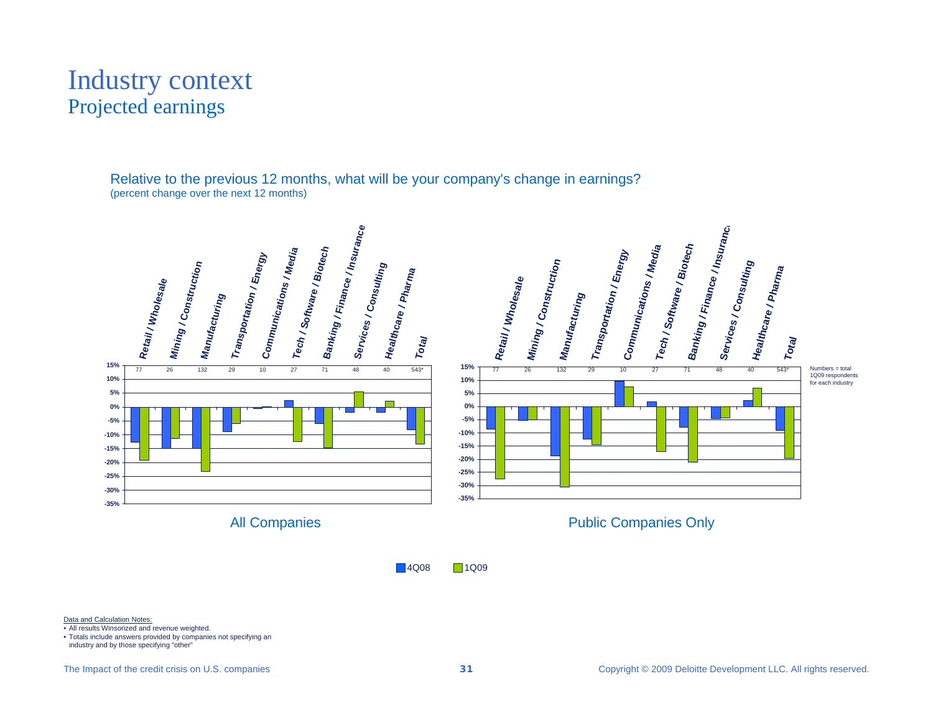# Industry context Projected earnings

Relative to the previous 12 months, what will be your company's change in earnings? (percent change over the next 12 months)



**14Q08** 1Q09

Data and Calculation Notes:

• All results Winsorized and revenue weighted.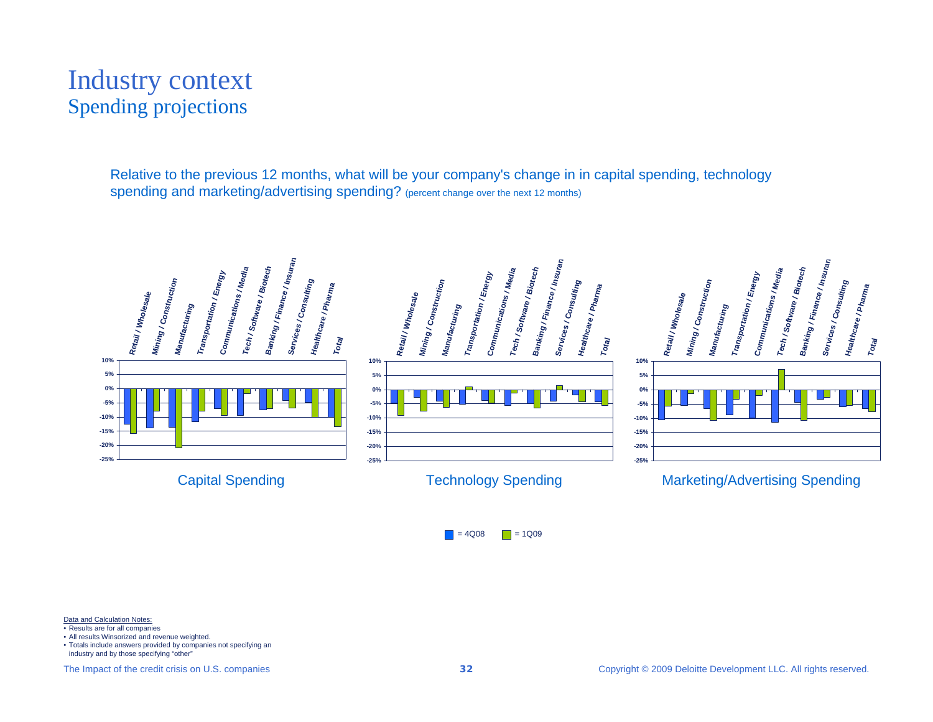# Industry context Spending projections

Relative to the previous 12 months, what will be your company's change in in capital spending, technology spending and marketing/advertising spending? (percent change over the next 12 months)



 $\blacksquare$  = 4Q08  $\Box$  = 1Q09

Data and Calculation Notes:

- Results are for all companies
- All results Winsorized and revenue weighted.
- Totals include answers provided by companies not specifying an industry and by those specifying "other"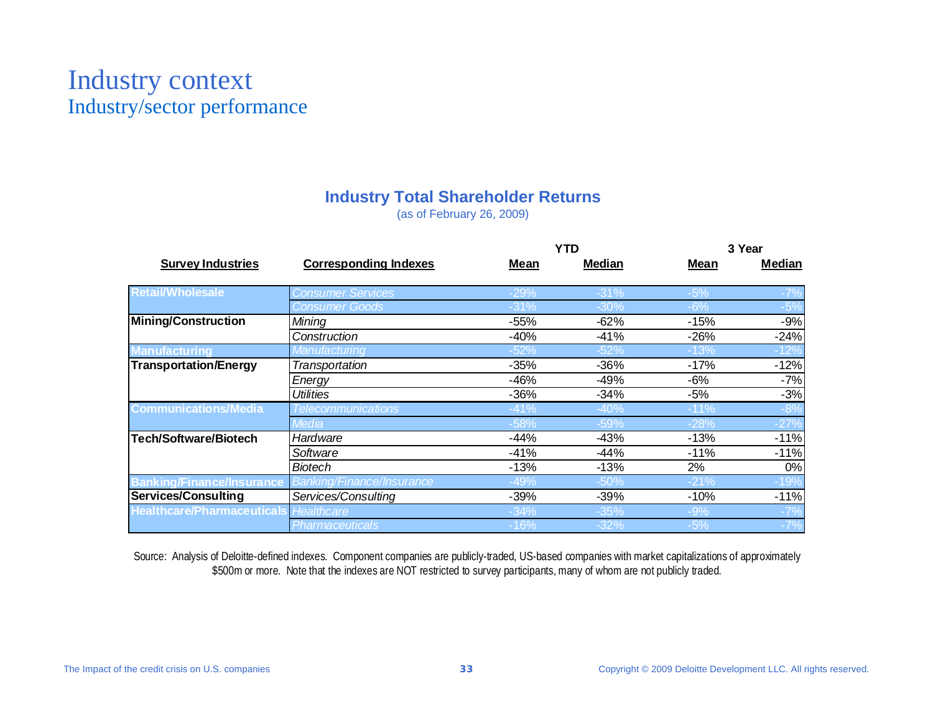# Industry context Industry/sector performance

## **Industry Total Shareholder Returns**

(as of February 26, 2009)

|                                              |                                  |        | <b>YTD</b> | 3 Year      |        |  |
|----------------------------------------------|----------------------------------|--------|------------|-------------|--------|--|
| <b>Survey Industries</b>                     | <b>Corresponding Indexes</b>     | Mean   | Median     | <b>Mean</b> | Median |  |
| <b>Retail/Wholesale</b>                      | <b>Consumer Services</b>         | $-29%$ | $-31%$     | $-5%$       |        |  |
|                                              | <b>Consumer Goods</b>            | $-31%$ | $-30%$     | $-6%$       | $-5%$  |  |
| <b>Mining/Construction</b>                   | Mining                           | $-55%$ | $-62%$     | $-15%$      | $-9%$  |  |
|                                              | Construction                     | $-40%$ | $-41%$     | $-26%$      | $-24%$ |  |
| <b>Manufacturing</b>                         | Manufacturing                    | $-52%$ | $-52%$     | $-13%$      | 12%    |  |
| <b>Transportation/Energy</b>                 | Transportation                   | $-35%$ | $-36%$     | $-17%$      | $-12%$ |  |
|                                              | Energy                           | $-46%$ | $-49%$     | $-6%$       | $-7%$  |  |
|                                              | <b>Utilities</b>                 | $-36%$ | $-34%$     | -5%         | $-3%$  |  |
| <b>Communications/Media</b>                  | Telecommunications               | $-41%$ | $-40%$     | $-11%$      | $-8%$  |  |
|                                              | Media                            | $-58%$ | $-59%$     | -28%        | $-27%$ |  |
| Tech/Software/Biotech                        | Hardware                         | $-44%$ | $-43%$     | $-13%$      | $-11%$ |  |
|                                              | Software                         | $-41%$ | $-44%$     | $-11%$      | $-11%$ |  |
|                                              | Biotech                          | $-13%$ | $-13%$     | 2%          | 0%     |  |
| <b>Banking/Finance/Insurance</b>             | <b>Banking/Finance/Insurance</b> | $-49%$ | $-50%$     | $-21%$      | $-19%$ |  |
| Services/Consulting                          | Services/Consulting              | $-39%$ | $-39%$     | $-10%$      | $-11%$ |  |
| <b>Healthcare/Pharmaceuticals</b> Healthcare |                                  | $-34%$ | $-35%$     | $-9%$       |        |  |
|                                              | Pharmaceuticals                  | -16%   | $-32%$     | $-5%$       | $-7%$  |  |

Source: Analysis of Deloitte-defined indexes. Component companies are publicly-traded, US-based companies with market capitalizations of approximately \$500m or more. Note that the indexes are NOT restricted to survey participants, many of whom are not publicly traded.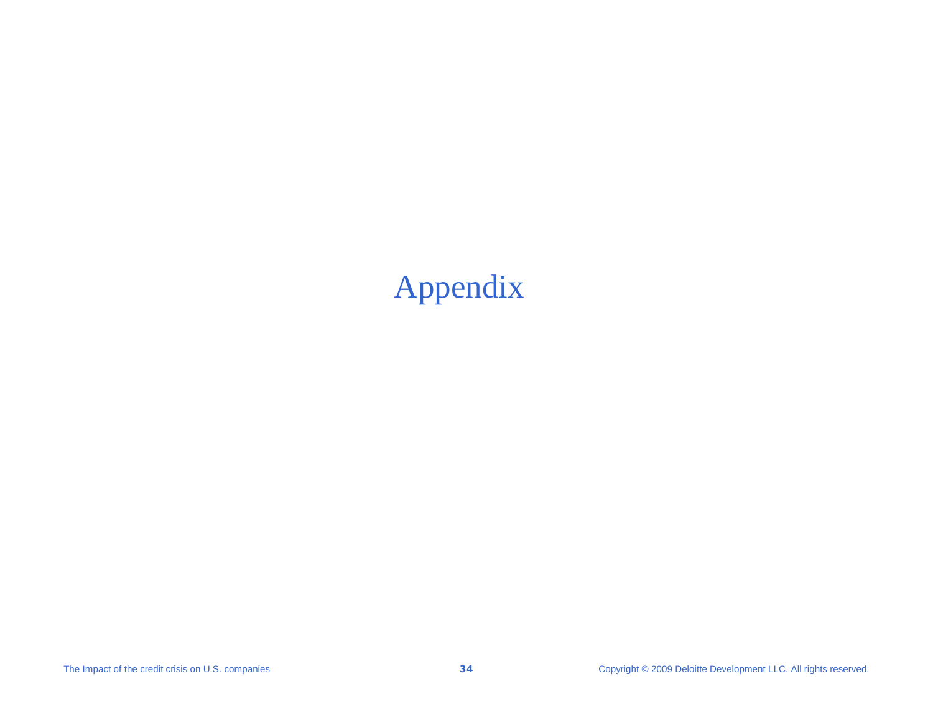# Appendix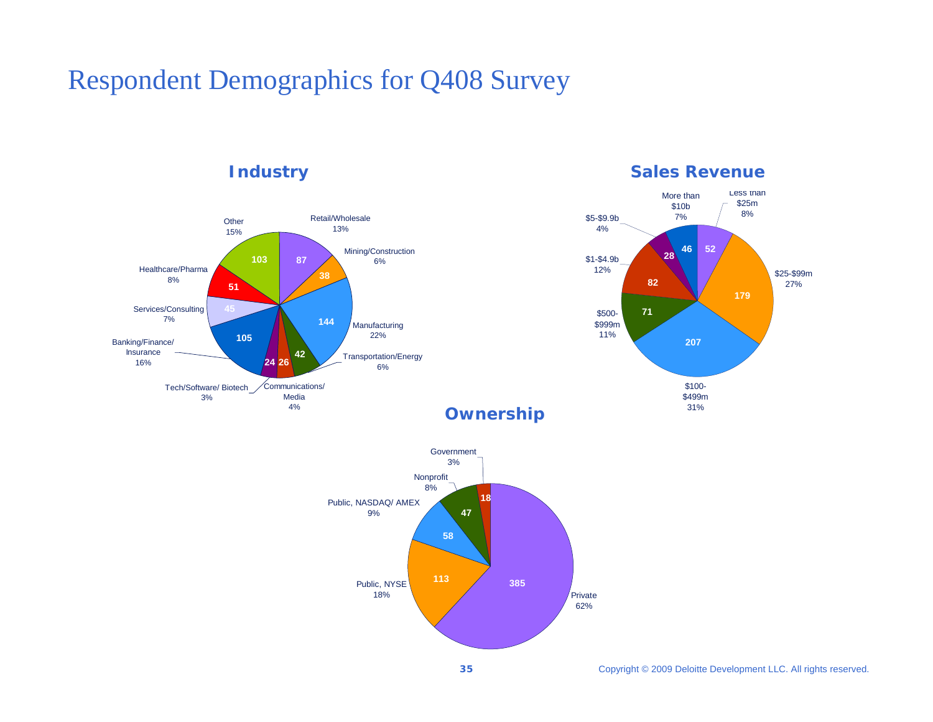# Respondent Demographics for Q408 Survey

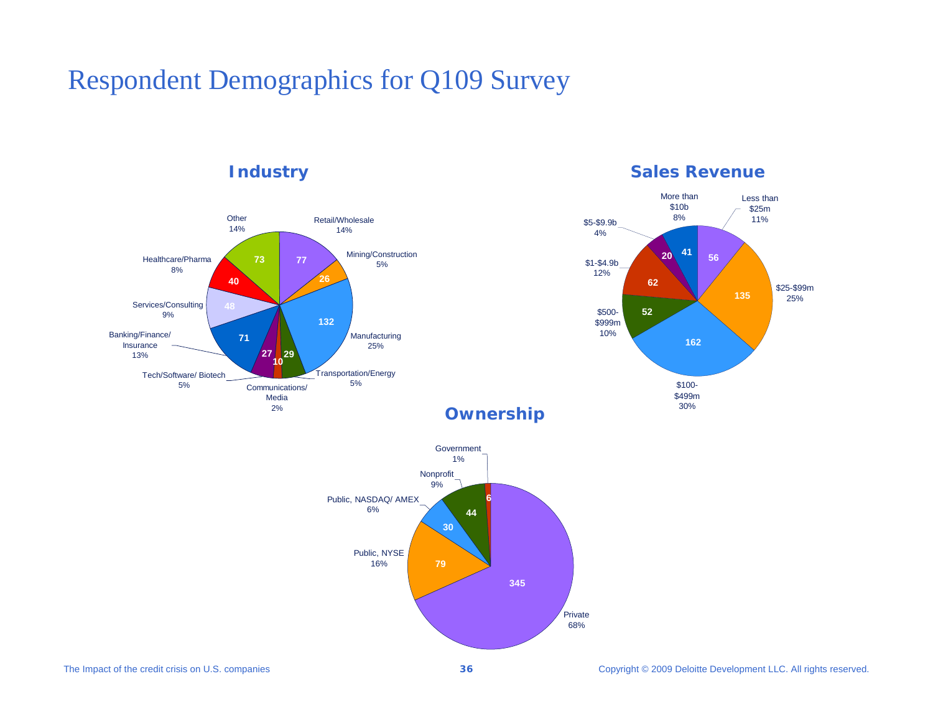# Respondent Demographics for Q109 Survey



## **Industry <b>Sales Revenue**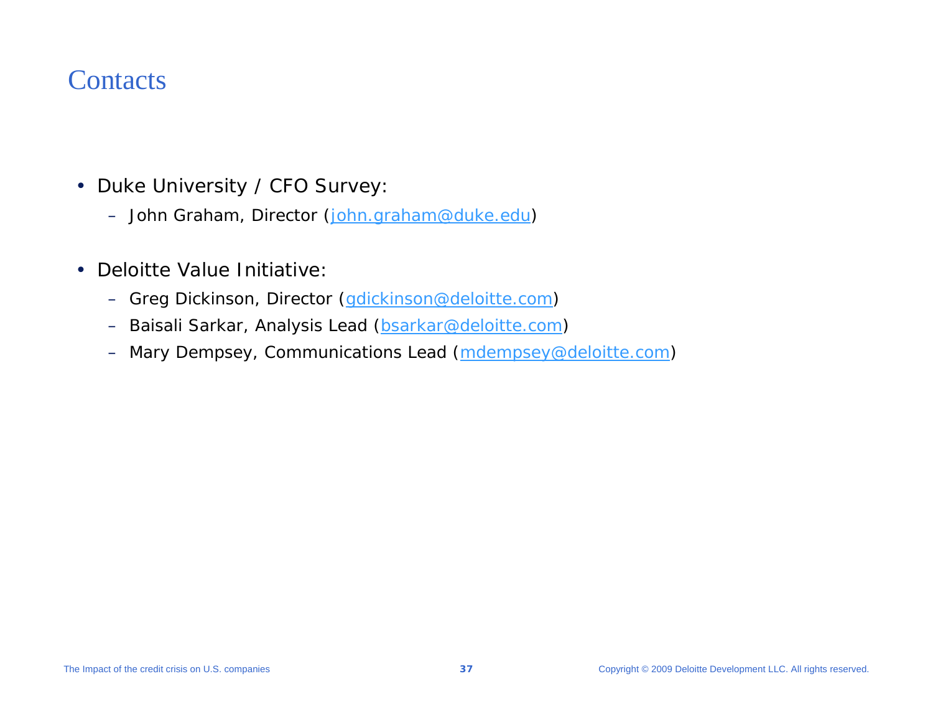# **Contacts**

- Duke University / CFO Survey:
	- John Graham, Director ([john.graham@duke.edu\)](mailto:john.graham@duke.edu)
- $\bullet$  Deloitte Value Initiative:
	- Greg Dickinson, Director (<u>gdickinson@deloitte.com</u>)
	- –Baisali Sarkar, Analysis Lead ([bsarkar@deloitte.com\)](mailto:bsarkar@deloitte.com)
	- Mary Dempsey, Communications Lead (<u>mdempsey@deloitte.com</u>)